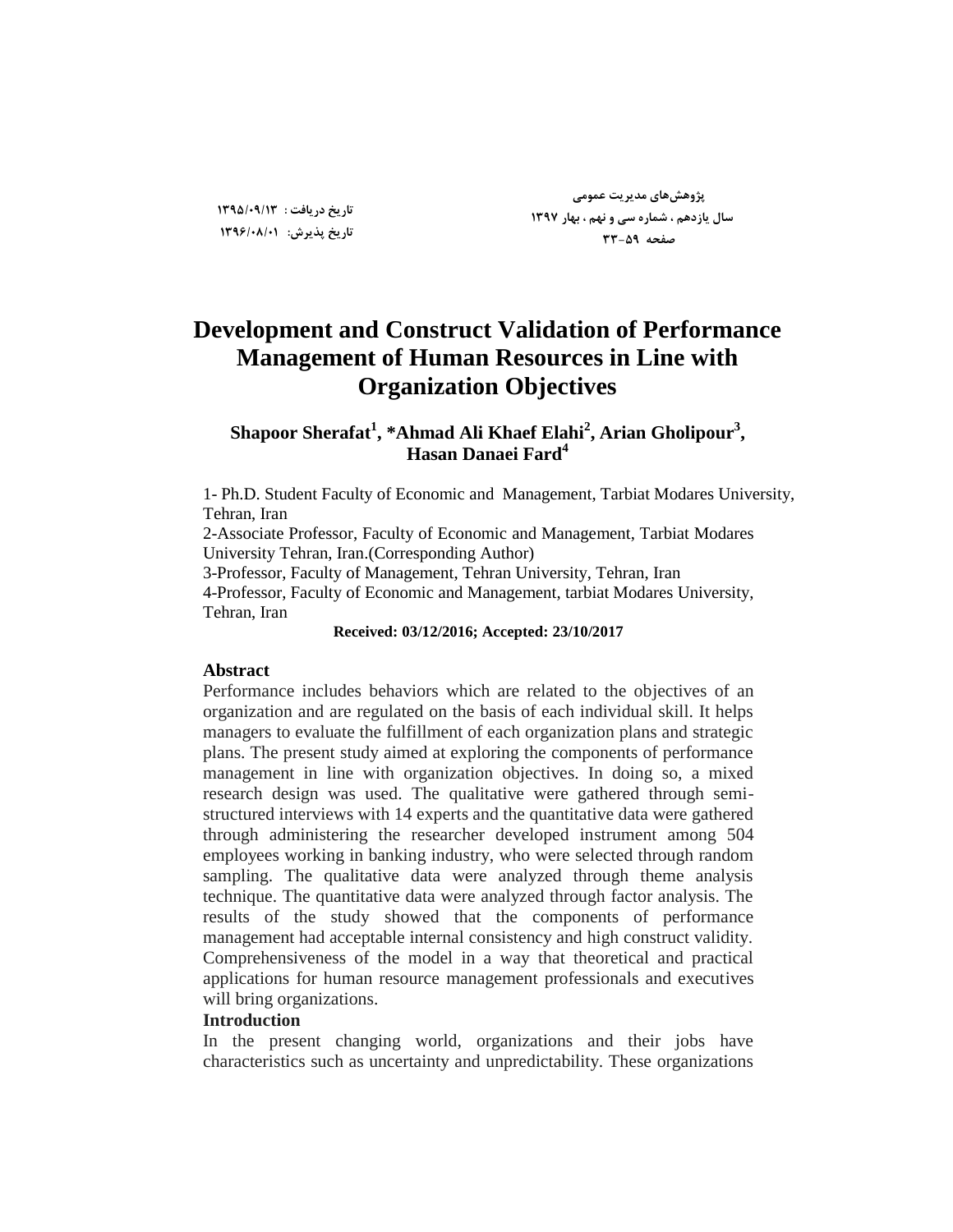**پژٍّصّای هسیزیت ػوَهی سال یاسزّن ، ضوارُ سی ٍ ًْن ، تْار 1397 صفحِ 33-59**

# **Development and Construct Validation of Performance Management of Human Resources in Line with Organization Objectives**

**Shapoor Sherafat<sup>1</sup> , \*Ahmad Ali Khaef Elahi<sup>2</sup> , Arian Gholipour<sup>3</sup> , Hasan Danaei Fard<sup>4</sup>**

1- Ph.D. Student Faculty of Economic and Management, Tarbiat Modares University, Tehran, Iran

2-Associate Professor, Faculty of Economic and Management, Tarbiat Modares University Tehran, Iran.(Corresponding Author)

3-Professor, Faculty of Management, Tehran University, Tehran, Iran 4-Professor, Faculty of Economic and Management, tarbiat Modares University, Tehran, Iran

**Received: 03/12/2016; Accepted: 23/10/2017**

# **Abstract**

Performance includes behaviors which are related to the objectives of an organization and are regulated on the basis of each individual skill. It helps managers to evaluate the fulfillment of each organization plans and strategic plans. The present study aimed at exploring the components of performance management in line with organization objectives. In doing so, a mixed research design was used. The qualitative were gathered through semistructured interviews with 14 experts and the quantitative data were gathered through administering the researcher developed instrument among 504 employees working in banking industry, who were selected through random sampling. The qualitative data were analyzed through theme analysis technique. The quantitative data were analyzed through factor analysis. The results of the study showed that the components of performance management had acceptable internal consistency and high construct validity. Comprehensiveness of the model in a way that theoretical and practical applications for human resource management professionals and executives will bring organizations.

## **Introduction**

In the present changing world, organizations and their jobs have characteristics such as uncertainty and unpredictability. These organizations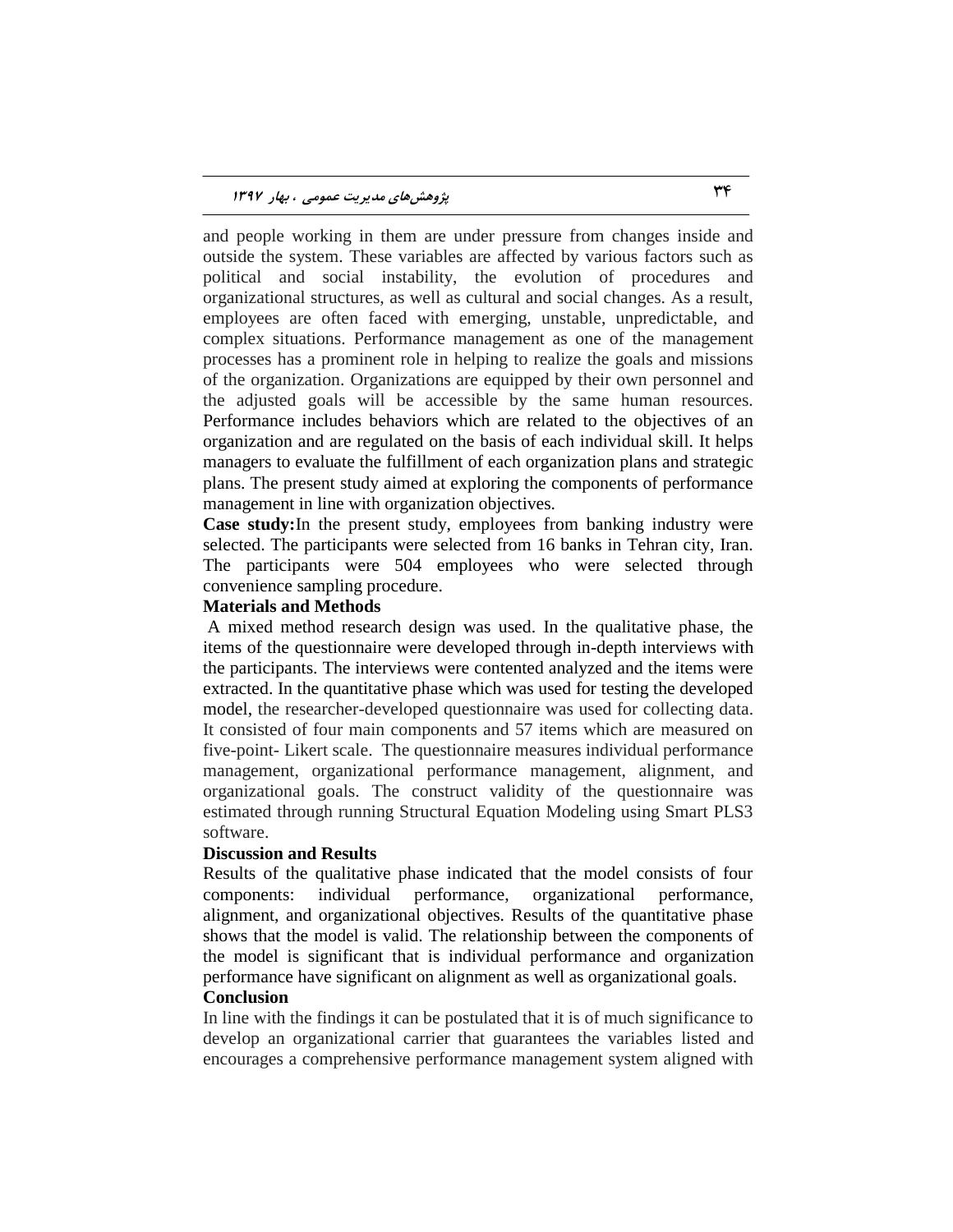and people working in them are under pressure from changes inside and outside the system. These variables are affected by various factors such as political and social instability, the evolution of procedures and organizational structures, as well as cultural and social changes. As a result, employees are often faced with emerging, unstable, unpredictable, and complex situations. Performance management as one of the management processes has a prominent role in helping to realize the goals and missions of the organization. Organizations are equipped by their own personnel and the adjusted goals will be accessible by the same human resources. Performance includes behaviors which are related to the objectives of an organization and are regulated on the basis of each individual skill. It helps managers to evaluate the fulfillment of each organization plans and strategic plans. The present study aimed at exploring the components of performance management in line with organization objectives.

**Case study:**In the present study, employees from banking industry were selected. The participants were selected from 16 banks in Tehran city, Iran. The participants were 504 employees who were selected through convenience sampling procedure.

#### **Materials and Methods**

A mixed method research design was used. In the qualitative phase, the items of the questionnaire were developed through in-depth interviews with the participants. The interviews were contented analyzed and the items were extracted. In the quantitative phase which was used for testing the developed model, the researcher-developed questionnaire was used for collecting data. It consisted of four main components and 57 items which are measured on five-point- Likert scale. The questionnaire measures individual performance management, organizational performance management, alignment, and organizational goals. The construct validity of the questionnaire was estimated through running Structural Equation Modeling using Smart PLS3 software.

#### **Discussion and Results**

Results of the qualitative phase indicated that the model consists of four components: individual performance, organizational performance, alignment, and organizational objectives. Results of the quantitative phase shows that the model is valid. The relationship between the components of the model is significant that is individual performance and organization performance have significant on alignment as well as organizational goals.

## **Conclusion**

In line with the findings it can be postulated that it is of much significance to develop an organizational carrier that guarantees the variables listed and encourages a comprehensive performance management system aligned with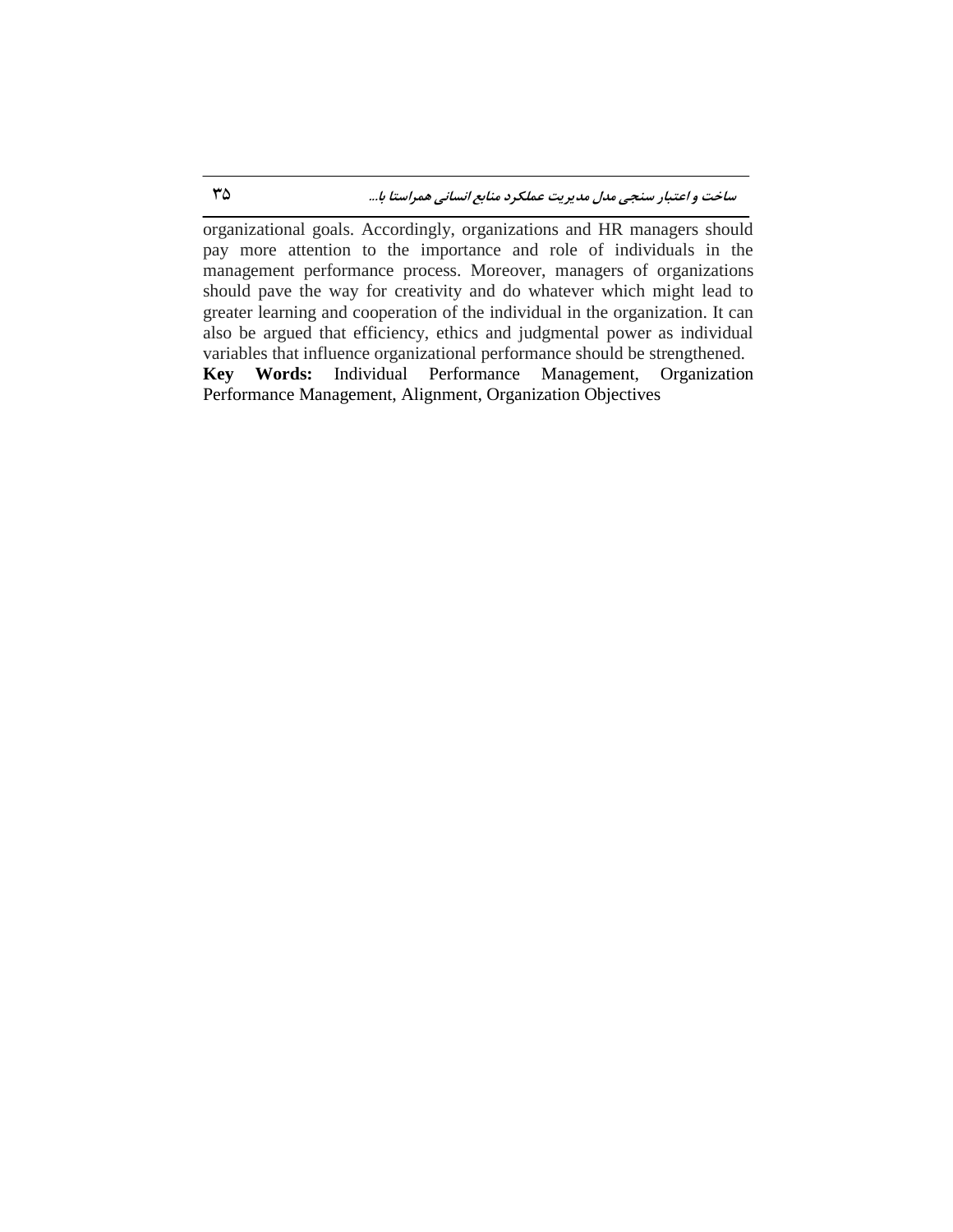organizational goals. Accordingly, organizations and HR managers should pay more attention to the importance and role of individuals in the management performance process. Moreover, managers of organizations should pave the way for creativity and do whatever which might lead to greater learning and cooperation of the individual in the organization. It can also be argued that efficiency, ethics and judgmental power as individual variables that influence organizational performance should be strengthened. **Key Words:** Individual Performance Management, Organization Performance Management, Alignment, Organization Objectives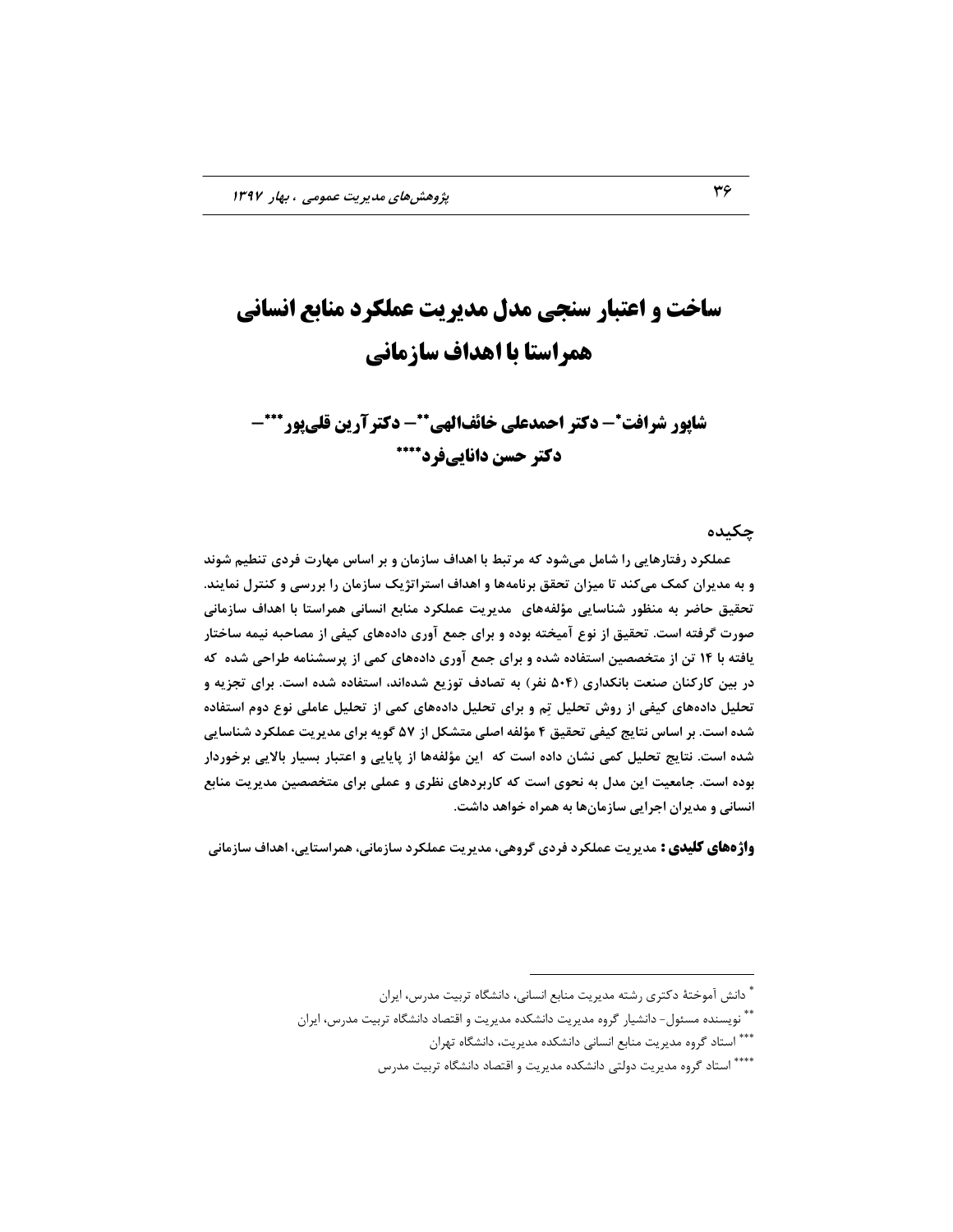# **ساخت و اعتبار سنجی مدل مدیریت عملکرد منابع انسانی همراستا با اهداف سازمانی**

**- دکتر احمدعلی خائفالهی شاپور شرافت - دکترآرین قلیپور - دکتر حسن داناییفرد**

**چکیسُ**

 **ػولکزز رفتارّایی را ضاهل هیضَز کِ هزتثط تا اّساف ساسهاى ٍ تز اساس هْارت فززی تٌطین ضًَس**  و به مدیران کمک میکند تا میزان تحقق برنامهها و اهداف استراتژیک سازمان را بررسی و کنترل نمایند. تحقیق حاضر به منظور شناسایی مؤلفههای ِ مدیریت عملکرد منابع انسانی همراستا با اهداف سازمانی صورت گرفته است. تحقیق از نوع آمیخته بوده و برای جمع آوری دادههای کیفی از مصاحبه نیمه ساختار یافته با ۱۴ تن از متخصصین استفاده شده و برای جمع آوری دادههای کمی از پرسشنامه طراحی شده که در بین کارکنان صنعت بانکداری (۵۰۴ نفر) به تصادف توزیع شدهاند، استفاده شده است. برای تجزیه و تحلیل دادههای کیفی از روش تحلیل تِم و برای تحلیل دادههای کمی از تحلیل عاملی نوع دوم استفاده **ضسُ است. تز اساس ًتایج کیفی تحقیق 4 هؤلفِ اصلی هتطکل اس 57 گَیِ تزای هسیزیت ػولکزز ضٌاسایی**  شده است. نتایج تحلیل کمی نشان داده است که **این مؤلفهها از پایایی و اعتبار بسیار با**لایی برخوردار بوده است. جامعیت این مدل به نحوی است که کاربردهای نظری و عملی برای متخصصین مدیریت منابع انسانی و مدیران اجرایی سازمانها به همراه خواهد داشت.

**واژههای کلیدی :** مدیریت عملکرد فردی گروهی، مدیریت عملکرد سازمانی، همراستایی، اهداف سازمانی

 $\overline{a}$ 

<sup>ً</sup> دانش آموختهٔ دکتری رشته مدیریت منابع انسانی، دانشگاه تربیت مدرس، ایران

<sup>ٌ ٌّ</sup> نويسنده مسئول- دانشيار گروه مديريت دانشكده مديريت و اقتصاد دانشگاه تربيت مدرس، ايران

<sup>\*\*\*</sup> استاد گروه مدیریت منابع انسانی دانشکده مدیریت، دانشگاه تهران

<sup>\*\*\*\*</sup> استاد گروه مدیریت دولتی دانشکده مدیریت و اقتصاد دانشگاه تربیت مدرس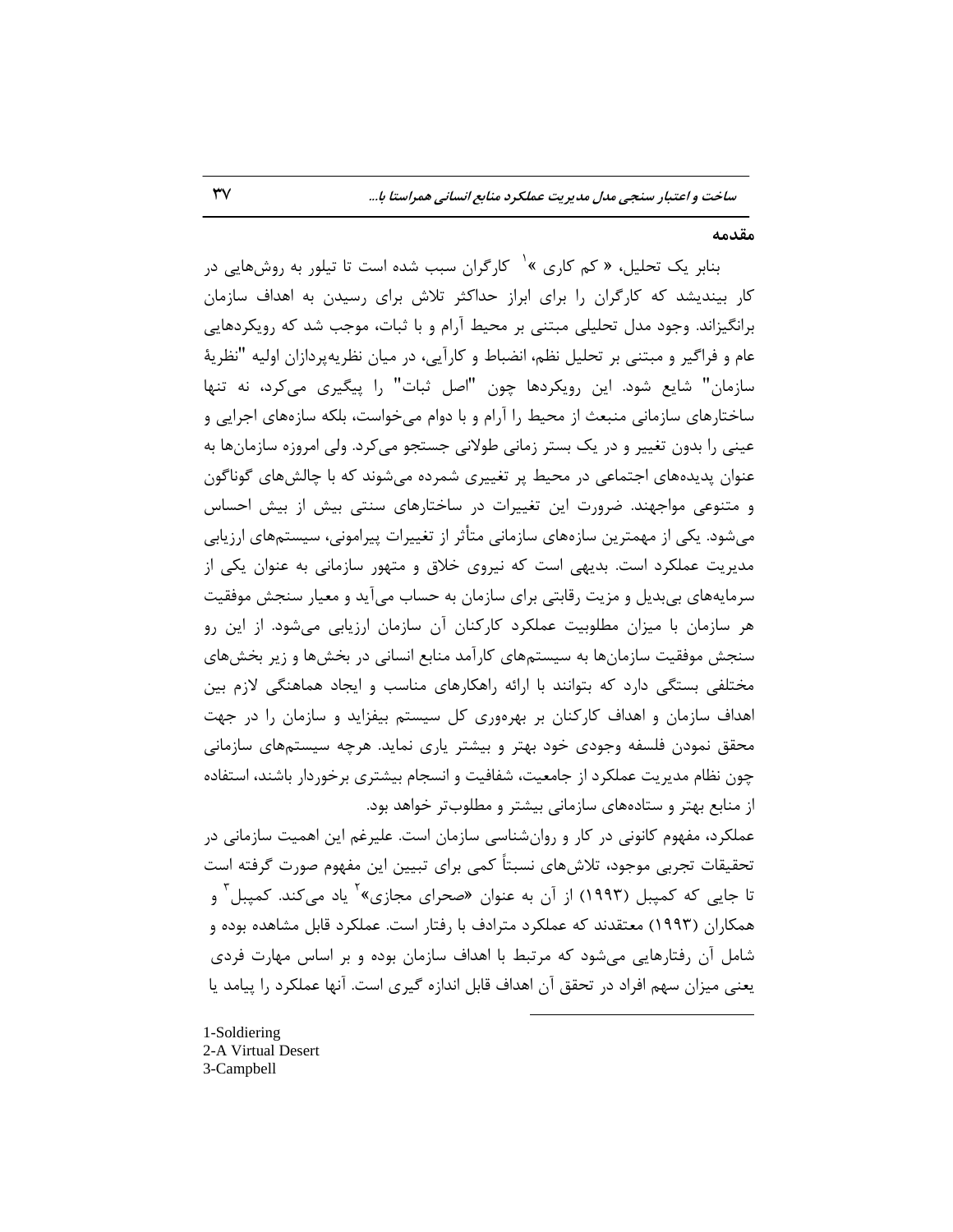#### **هقسهِ**

بنابر یک تحلیل، « کم کاری » یا کارگران سبب شده است تا تیلور به روشهایی در كار بیندیشد كه كارگران را براى ابراز حداكثر تلاش براى رسیدن به اهداف سازمان برانگیزاند. وجود مدل تحلیلی مبتنی بر محیط آرام و با ثبات، موجب شد که رویکردهایی عام و فراگیر و مبتنی بر تحلیل نظم، انضباط و کارآیی، در میان نظریه $\mu$ دان اولیه "نظریهٔ سازمان" شايع شود. اين رويكردها چون "اصل ثبات" را پيگيرى مي كرد، نه تنها ساختارهای سازمانی منبعث از محیط را آرام و با دوام میخواست، بلکه سازههای اجرایی و عینی را بدون تغییر و در یک بستر زمانی طولانی جستجو می کرد. ولی امروزه سازمانها به عنوان پدیدههای اجتماعی در محیط پر تغییری شمرده میشوند که با چالشهای گوناگون و متنوعی مواجهند. ضرورت این تغییرات در ساختارهای سنتی بیش از بیش احساس می شود. یکی از مهمترین سازههای سازمانی متأثر از تغییرات پیرامونی، سیستمهای ارزیابی مدیریت عملکرد است. بدیهی است که نیروی خلاق و متهور سازمانی به عنوان یکی از سرمایههای بیِبدیل و مزیت رقابتی برای سازمان به حساب میآید و معیار سنجش موفقیت هر سازمان با ميزان مطلوبيت عملكرد كاركنان آن سازمان ارزيابي مي شود. از اين رو سنجش موفقیت سازمانها به سیستمهای کارآمد منابع انسانی در بخشها و زیر بخشهای مختلفی بستگی دارد که بتوانند با ارائه راهکارهای مناسب و ایجاد هماهنگی لازم بین اهداف سازمان و اهداف کارکنان بر بهرهورى کل سیستم بیفزاید و سازمان را در جهت محقق نمودن فلسفه وجودى خود بهتر و بیشتر یارى نماید. هرچِه سیستمِهاى سازمانى چون نظام مديريت عملكرد از جامعيت، شفافيت و انسجام بيشترى برخوردار باشند، استفاده از منابع بهتر و ستادههای سازمانی بیشتر و مطلوبتر خواهد بود.

عملكرد، مفهوم كانونى در كار و روان شناسى سازمان است. عليرغم اين اهميت سازمانى در تحقيقات تجربي موجود، تلاش هاي نسبتاً كمي براي تبيين اين مفهوم صورت گرفته است تا جایی که کمپبل (۱۹۹۳) از آن به عنوان «صحرای مجازی»<sup>۲</sup> یاد میکند. کمپبل<sup>۳</sup> و همكاران (۱۹۹۳) معتقدند كه عملكرد مترادف با رفتار است. عملكرد قابل مشاهده بوده و شامل آن رفتارهایی میشود که مرتبط با اهداف سازمان بوده و بر اساس مهارت فردی یعنی میزان سهم افراد در تحقق آن اهداف قابل اندازه گیری است. آنها عملکرد ,ا پیامد یا

 $\overline{a}$ 

1-Soldiering 2-A Virtual Desert 3-Campbell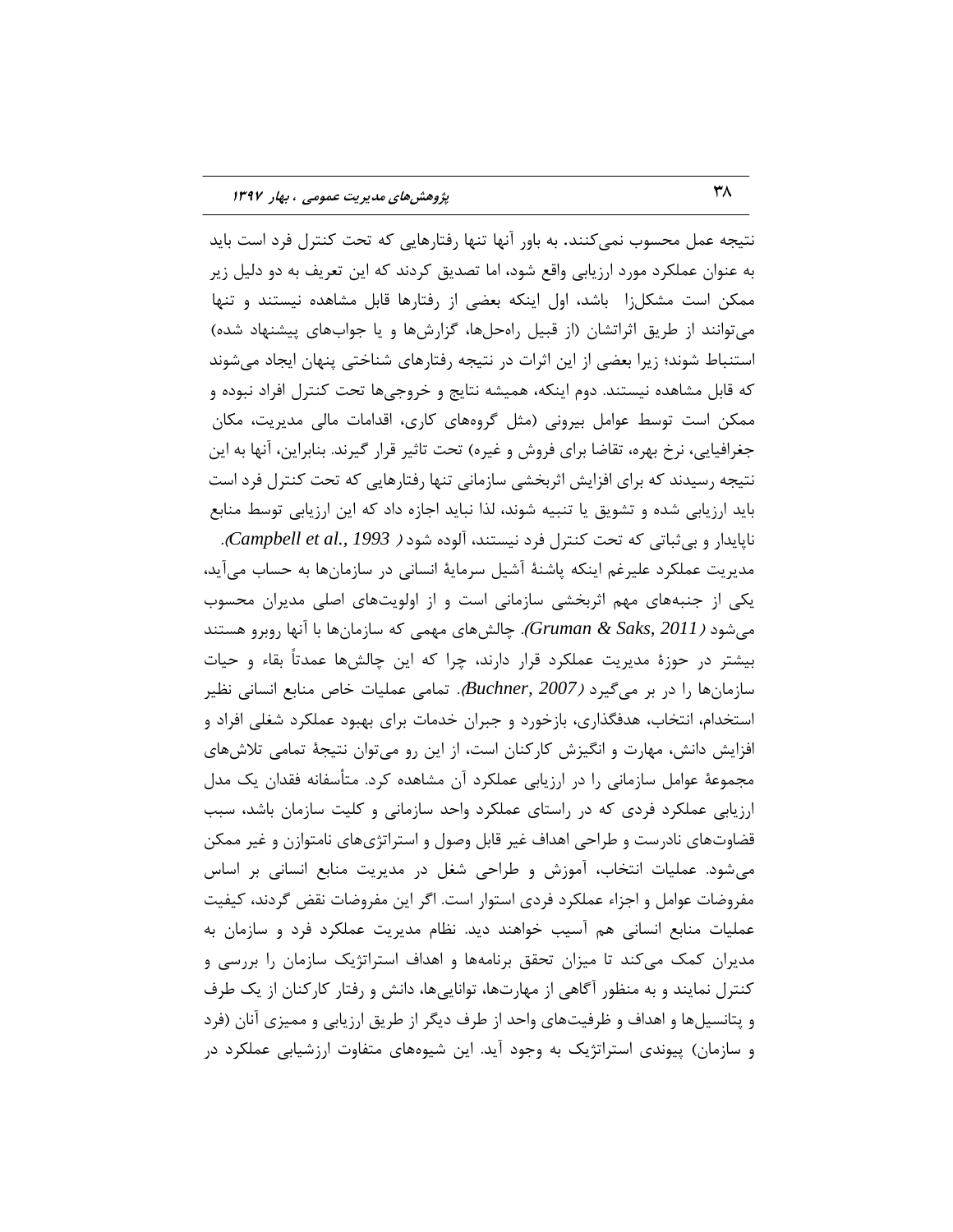نتيجه عمل محسوب نمي كنند. به باور آنها تنها رفتارهايي كه تحت كنترل فرد است بايد به عنوان عملكرد مورد ارزيابي واقع شود، اما تصديق كردند كه اين تعريف به دو دليل زير ممكن است مشكل;ا باشد، اول اینكه بعضی از رفتارها قابل مشاهده نیستند و تنها می توانند از طریق اثراتشان (از قبیل راهحلها، گزارشها و یا جوابهای پیشنهاد شده) استنباط شوند؛ زيرا بعضي از اين اثرات در نتيجه رفتارهاي شناختي پنهان ايجاد ميشوند که قابل مشاهده نیستند. دوم اینکه، همیشه نتایج و خروجیها تحت کنترل افراد نبوده و ممكن است توسط عوامل بيروني (مثل گروههای كاری، اقدامات مالی مدیریت، مكان جغرافيايي، نرخ بهره، تقاضا براي فروش و غيره) تحت تاثير قرار گيرند. بنابراين، آنها به اين نتیجه رسیدند که برای افزایش اثربخشی سازمانی تنها رفتارهایی که تحت کنترل فرد است باید ارزیابی شده و تشویق یا تنبیه شوند، لذا نباید اجازه داد که این ارزیابی توسط منابع ًبپبٗساض ٍ ثٖحجبتٖ وِ تحت وٌتطل فطز ً٘ؿتٌس، آلَزُ قَز ) *1993 .,al et Campbell*). مدیریت عملکرد علیرغم اینکه پاشنهٔ آشیل سرمایهٔ انسانی در سازمانها به حساب میآید، یکی از جنبههای مهم اثربخشی سازمانی است و از اولویتهای اصلی مدیران محسوب هِ شود *( Gruman & Saks, 2011). چال*شهاى مهمى كه سازمانها با آنها روبرو هستند بیشتر در حوزهٔ مدیریت عملکرد قرار دارند، چرا که این چالشها عمدتاً بقاء و حیات سازمانها را در بر می<sup>5</sup>یرد *(Buchner, 2007).* تمامی عملیات خاص منابع انسانی نظیر استخدام، انتخاب، هدفگذارى، بازخورد و جبران خدمات براى بهبود عملكرد شغلي افراد و افزايش دانش، مهارت و انگيزش كاركنان است، از اين رو مى توان نتيجهٔ تمامى تلاشهاى مجموعهٔ عوامل سازمانی را در ارزیابی عملکرد آن مشاهده کرد. متأسفانه فقدان یک مدل ارزیابی عملکرد فردی که در راستای عملکرد واحد سازمانی و کلیت سازمان باشد، سبب قضاوتهاى نادرست و طراحى اهداف غير قابل وصول و استراتژىهاى نامتوازن و غير ممكن می شود. عملیات انتخاب، آموزش و طراحی شغل در مدیریت منابع انسانی بر اساس مفروضات عوامل و اجزاء عملكرد فردي استوار است. اگر اين مفروضات نقض گردند، كيفيت عملیات منابع انسانی هم آسیب خواهند دید. نظام مدیریت عملکرد فرد و سازمان به مدیران کمک میکند تا میزان تحقق برنامهها و اهداف استراتژیک سازمان را بررسی و کنترل نمایند و به منظور آگاهی از مهارتها، تواناییها، دانش و رفتار کارکنان از یک طرف و پتانسیلها و اهداف و ظرفیتهاى واحد از طرف دیگر از طریق ارزیابی و ممیزی آنان (فرد و سازمان) پيوندى استراتژيک به وجود آيد. اين شيوههاى متفاوت ارزشيابي عملکرد در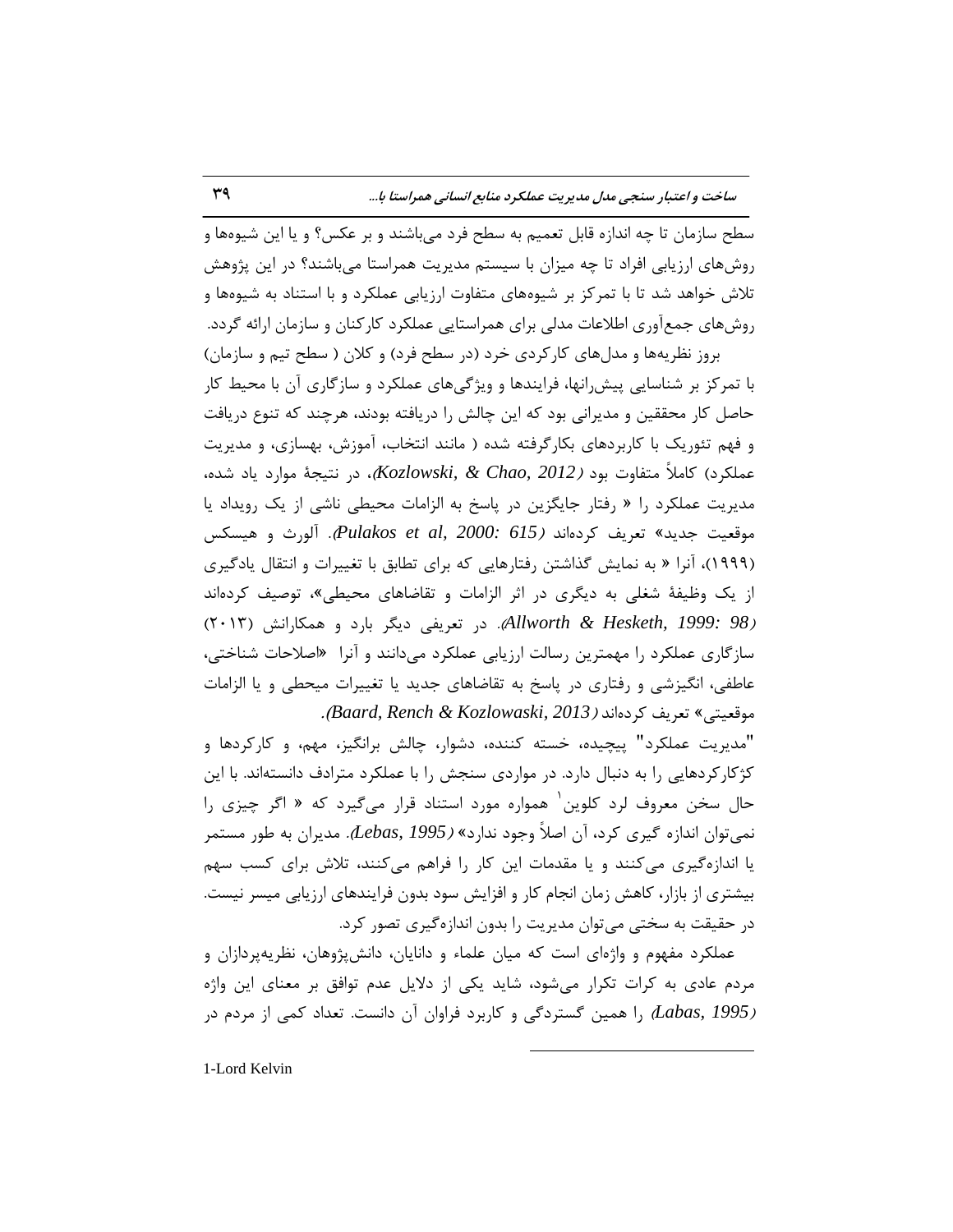سطح سازمان تا چِه اندازه قابل تعميم به سطح فرد ميباشند و بر عكس؟ و يا اين شيوهها و روشهاى ارزيابي افراد تا چِه ميزان با سيستم مديريت همراستا ميباشند؟ در اين پژوهش تلاش خواهد شد تا با تمركز بر شيوههاى متفاوت ارزيابي عملكرد و با استناد به شيوهها و روشهاى جمعآورى اطلاعات مدلي براي همراستايي عملكرد كاركنان و سازمان ارائه گردد. بروز نظریهها و مدلهای کارکردی خرد (در سطح فرد) و کلان ( سطح تیم و سازمان)

با تمرکز بر شناسایی پیش,انها، فرایندها و ویژگیهای عملکرد و سازگاری آن با محیط کار حاصل کار محققين و مديراني بود که اين چالش را دريافته بودند، هرچند که تنوع دريافت و فَهم تئوريک با کاربردهاى بکارگرفته شده ( مانند انتخاب، آموزش، بهسازى، و مديريت عملكرد) كاملاً متفاوت بود *( 2012 ,Kozlowski*)، در نتيجة موارد ياد شده، هديريت عملكرد را « رفتار جايگزين در پاسخ به الزامات محيطي ناشي از يک رويداد يا هَلؼ٘ت رسٗس« تؼطٗف وطزُاًس )*615 2000: ,al et Pulakos*). آلَضث ٍ ّ٘ؿىؽ (۱۹۹۹)، آنرا « به نمايش گذاشتن رفتارهايي كه براي تطابق با تغييرات و انتقال يادگيري از یک وظیفهٔ شغلی به دیگری در اثر الزامات و تقاضاهای محیطی»، توصیف کردهاند )*98 1999: ,Hesketh & Allworth*). زض تؼطٗفٖ زٗگط ثبضز ٍ ّوىبضاًف )2013( سازگاري عملكرد را مهمترين رسالت ارزيابي عملكرد ميدانند و آنراً «اصلاحات شناختي، عاطفی، انگیزشی و رفتاری در پاسخ به تقاضاهای جدید یا تغییرات میحطی و یا الزامات هَلؼ٘تٖ« تؼطٗف وطزُاًس )*2013 ,Kozlowaski & Rench ,Baard*).

"مديريت عملكرد" پيچيده، خسته كننده، دشوار، چالش برانگيز، مهم، و كاركردها و کژکارکردهايي را به دنبال دارد. در مواردي سنجش را با عملکرد مترادف دانستهاند. با اين حال سخن معروف لرد کلوین <sup>۱</sup> همواره مورد استناد قرار میگیرد که « اگر چیزی را نمي توان اندازه گيري كرد، آن اصلاً وجود ندارد» *(Lebas, 1995).* مديران به طور مستمر يا اندازهگيري مي كنند و يا مقدمات اين كار را فراهم مي كنند، تلاش براي كسب سهم بیشتری از بازار، کاهش زمان انجام کار و افزایش سود بدون فرایندهای ارزیابی میسر نیست. در حقیقت به سختی می توان مدیریت را بدون اندازهگیری تصور کرد.

عملكرد مفهوم و واژهاى است كه ميان علماء و دانايان، دانشپژوهان، نظريهپردازان و مردم عادی به کرات تکرار می شود، شايد يکی از دلايل عدم توافق بر معنای اين واژه *(Labas, 1995* ,ا همین گستردگی و کاربرد فراوان آن دانست. تعداد کمی از مردم در

 $\overline{a}$ 

1-Lord Kelvin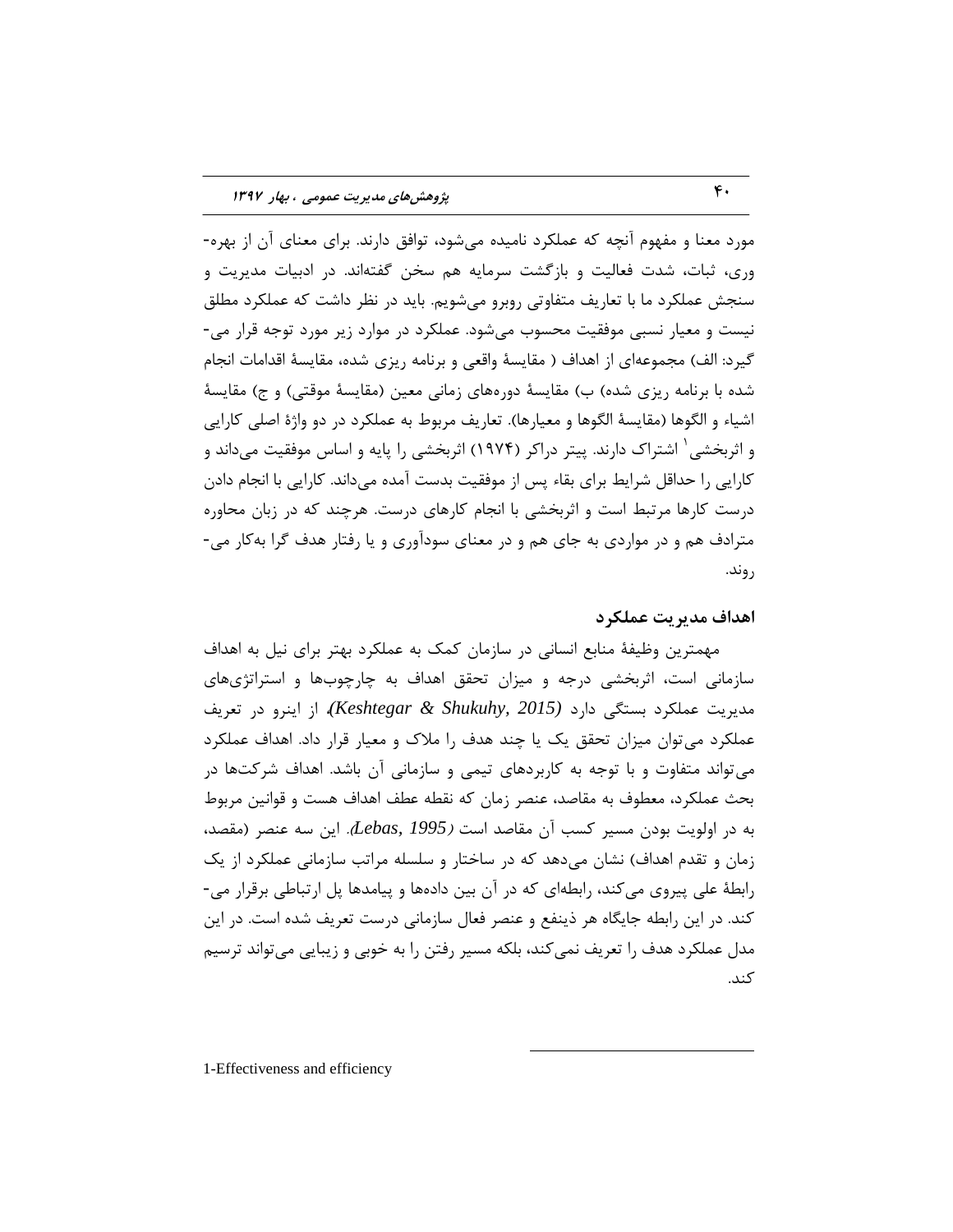مورد معنا و مفهوم آنچه که عملکرد نامیده می شود، توافق دارند. برای معنای آن از بهره-وری، ثبات، شدت فعالیت و بازگشت سرمایه هم سخن گفتهاند. در ادبیات مدیریت و سنجش عملكرد ما با تعاريف متفاوتي روبرو مي شويم. بايد در نظر داشت كه عملكرد مطلق نیست و معیار نسبی موفقیت محسوب میشود. عملکرد در موارد زیر مورد توجه قرار می-گیرد: الف) مجموعهای از اهداف ( مقایسهٔ واقعی و برنامه ریزی شده، مقایسهٔ اقدامات انجام شده با برنامه ریزی شده) ب) مقایسهٔ دورههای زمانی معین (مقایسهٔ موقتی) و ج) مقایسهٔ اشياء و الگوها (مقايسهٔ الگوها و معيارها). تعاريف مربوط به عملکرد در دو واژهٔ اصلی کارايي و اثربخشی ٰ اشتراک دارند. پیتر دراکر (۱۹۷۴) اثربخشی را پایه و اساس موفقیت میداند و کارایی را حداقل شرایط برای بقاء پس از موفقیت بدست آمده میداند. کارایی با انجام دادن درست کارها مرتبط است و اثربخشی با انجام کارهای درست. هرچند که در زبان محاوره مترادف هم و در مواردی به جای هم و در معنای سودآوری و یا رفتار هدف گرا بهکار می-روند.

## **اّساف هسیزیت ػولکزز**

مهمترين وظيفهٔ منابع انساني در سازمان كمک به عملکرد بهتر براى نيل به اهداف سازمانی است، اثربخشی درجه و میزان تحقق اهداف به چارچوبها و استراتژیهای هسٗطٗت ػولىطز ثؿتگٖ زاضز *(2015 ,Shukuhy & Keshtegar(*، اظ اٌٗطٍ زض تؼطٗف عملكرد مى توان ميزان تحقق يک يا چند هدف را ملاک و معيار قرار داد. اهداف عملكرد می تواند متفاوت و با توجه به کاربردهای تیمی و سازمانی آن باشد. اهداف شرکتها در بحث عملكرد، معطوف به مقاصد، عنصر زمان كه نقطه عطف اهداف هست و قوانين مربوط بِه در اولويت بودن مسير كسب آن مقاصد است *(Lebas, 1995).* اين سه عنصر (مقصد، زمان و تقدم اهداف) نشان می۵هد که در ساختار و سلسله مراتب سازمانی عملکرد از یک رابطهٔ علی پیروی میکند، رابطهای که در آن بین دادهها و پیامدها پل ارتباطی برقرار می-کند. در اين رابطه جايگاه هر ذينفع و عنصر فعال سازماني درست تعريف شده است. در اين مدل عملكرد هدف را تعريف نمي كند، بلكه مسير رفتن را به خوبي و زيبايي مي تواند ترسيم كند.

 $\overline{a}$ 

1-Effectiveness and efficiency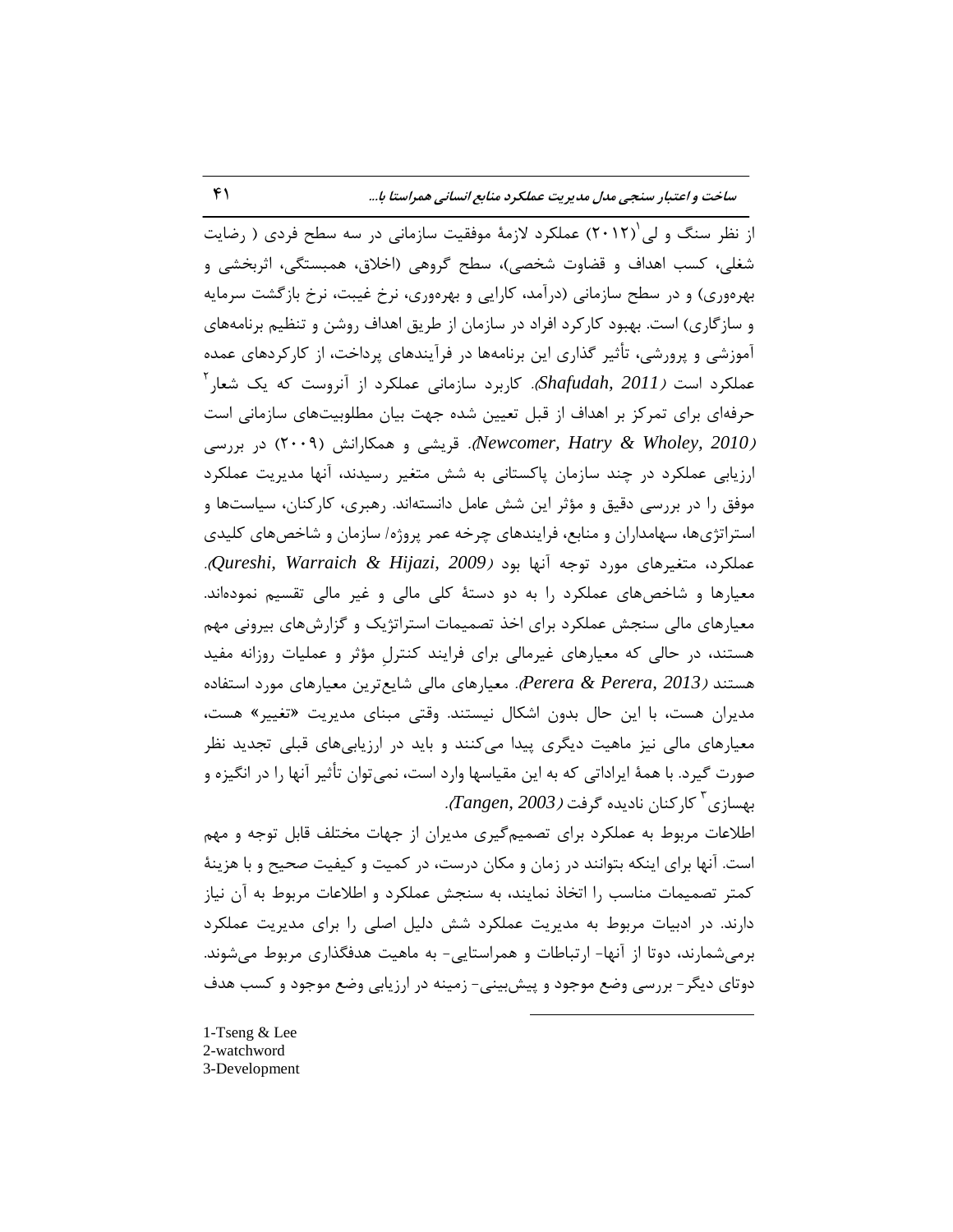**ساذت ٍ اػتثار سٌجی هسل هسیزیت ػولکزز هٌاتغ اًساًی ّوزاستا تا...** 41

از نظر سنگ و لی $\big(7\cdot 17\big)$  عملکرد لازمهٔ موفقیت سازمانی در سه سطح فردی ( رضایت شغلی، کسب اهداف و قضاوت شخصی)، سطح گروهی (اخلاق، همبستگی، اثربخشی و بهرهوری) و در سطح سازمانی (درآمد، کارایی و بهرهوری، نرخ غیبت، نرخ بازگشت سرمایه و سازگاری) است. بهبود كاركرد افراد در سازمان از طريق اهداف روشن و تنظيم برنامههای آموزشي و پرورشي، تأثير گذاري اين برنامهها در فرآيندهاي پرداخت، از کارکردهاي عمده  $^7$ 2 عملکرد است *(Shafudah, 2011).* کاربرد سازمانی عملکرد از آنروست که یک شعار حرفهاى براى تمركز بر اهداف از قبل تعيين شده جهت بيان مطلوبيتهاى سازمانى است ر)*(Newcomer, Hatry & Wholey, 2010).* قریشی و همکارانش (۲۰۰۹) در بررسی ارزیابی عملکرد در چند سازمان پاکستانی به شش متغیر رسیدند، آنها مدیریت عملکرد موفق را در بررسی دقیق و مؤثر این شش عامل دانستهاند. رهبری، کارکنان، سیاستها و استراتژىها، سهامداران و منابع، فرايندهاى چرخه عمر پروژه/ سازمان و شاخصهاى كليدى ػولىطز، هتغ٘طّبٕ هَضز تَرِ آًْب ثَز )*2009 ,Hijazi & Warraich ,Qureshi*). معیارها و شاخصهای عملکرد را به دو دستهٔ کلی مالی و غیر مالی تقسیم نمودهاند. معیارهای مالی سنجش عملکرد برای اخذ تصمیمات استراتژیک و گزارشهای بیرونی مهم هستند، در حالی که معیارهای غیرمالی برای فرایند کنترل مؤثر و عملیات روزانه مفید هستند *(Perera & Perera, 2013).* معيا<sub>ر</sub>هاي مالي شايع ترين معيا<sub>ر</sub>هاي مورد استفاده مديران هست، با اين حال بدون اشكال نيستند. وقتى مبناى مديريت «تغيير» هست، معیارهای مالی نیز ماهیت دیگری پیدا میکنند و باید در ارزیابیهای قبلی تجدید نظر صورت گيرد. با همهٔ ايراداتي كه به اين مقياسها وارد است، نمي توان تأثير آنها را در انگيزه و بهسازی<sup>۳</sup> کارکنان نادیده گرفت *(Tangen*, 2003*).* 

اطلاعات مربوط به عملکرد براى تصميم گيرى مديران از جهات مختلف قابل توجه و مهم است. آنها براى اینکه بتوانند در زمان و مکان درست، در کمیت و کیفیت صحیح و با هزینهٔ كمتر تصميمات مناسب را اتخاذ نمايند، به سنجش عملكرد و اطلاعات مربوط به آن نياز دارند. در ادبیات مربوط به مدیریت عملکرد شش دلیل اصلی را برای مدیریت عملکرد برمی شمارند، دوتا از آنها- ارتباطات و همراستایی- به ماهیت هدفگذاری مربوط می شوند. دوتای دیگر - بررسی وضع موجود و پیش بینی- زمینه در ارزیابی وضع موجود و کسب هدف

 $\overline{a}$ 

1-Tseng & Lee 2-watchword 3-Development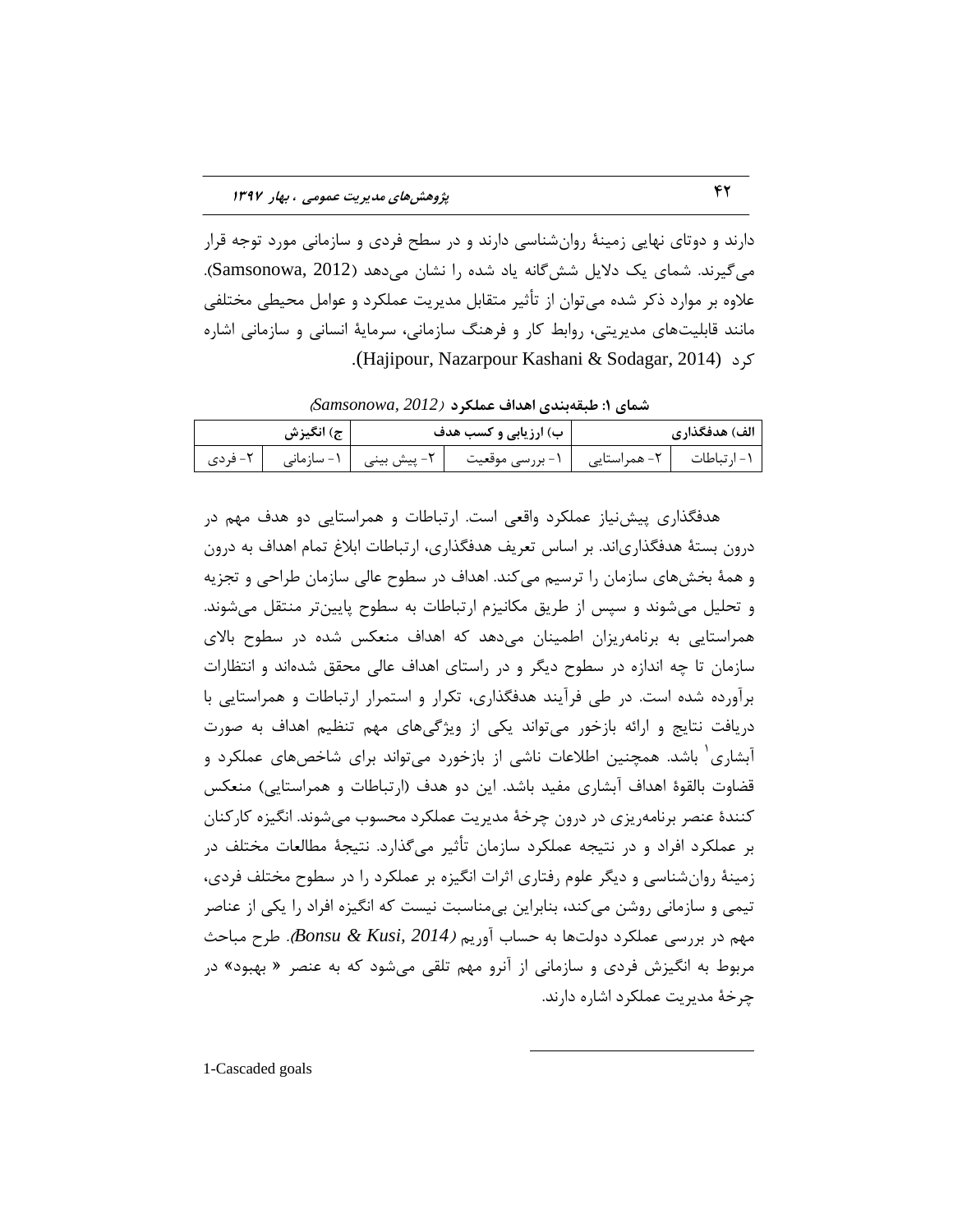دارند و دوتای نهایی زمینهٔ روانِشناسی دارند و در سطح فردی و سازمانی مورد توجه قرار می گیرند. شمای یک دلایل شش گانه یاد شده را نشان می دهد (Samsonowa, 2012). علاوه بر موارد ذکر شده می توان از تأثیر متقابل مدیریت عملکرد و عوامل محیطی مختلفی مانند قابلیتهای مدیریتی، روابط کار و فرهنگ سازمانی، سرمایهٔ انسانی و سازمانی اشاره .(Hajipour, Nazarpour Kashani & Sodagar, 2014) وطز

**ضوای :1 طثقِتٌسی اّساف ػولکزز** )*2012 ,Samsonowa*)

| ج) انگیزش | ب) ارزیابی و کسب هدف                                                              | الف) هدفگذاري |
|-----------|-----------------------------------------------------------------------------------|---------------|
|           | ۱- ارتباطات   ۲- همراستایی   ۱- بررسی موقعیت   ۲- پیش بینی   ۱- سازمانی   ۲- فردی |               |

هدفگذاری پیش نیاز عملکرد واقعی است. ارتباطات و همراستایی دو هدف مهم در درون بستهٔ هدفگذاریاند. بر اساس تعریف هدفگذاری، ارتباطات ابلاغ تمام اهداف به درون و همهٔ بخشهاى سازمان را ترسيم مى كند. اهداف در سطوح عالى سازمان طراحى و تجزيه و تحلیل میشوند و سپس از طریق مکانیزم ارتباطات به سطوح پایینتر منتقل میشوند. همراستایی به برنامهریزان اطمینان می۵هد که اهداف منعکس شده در سطوح بالای سازمان تا چِه اندازه در سطوح دیگر و در راستای اهداف عالی محقق شدهاند و انتظارات برآورده شده است. در طی فرآیند هدفگذاری، تکرار و استمرار ارتباطات و همراستایی با دریافت نتایج و ارائه بازخور می تواند یکی از ویژگی@ای مهم تنظیم اهداف به صورت آبشاری<sup>٬</sup> باشد. همچنین اطلاعات ناشی از بازخورد میتواند برای شاخصهای عملکرد و قضاوت بالقوة اهداف آبشارى مفيد باشد. اين دو هدف (ارتباطات و همراستايي) منعكس کنندهٔ عنصر برنامهریزی در درون چرخهٔ مدیریت عملکرد محسوب می شوند. انگیزه کارکنان بر عملكرد افراد و در نتيجه عملكرد سازمان تأثير ميگذارد. نتيجهٔ مطالعات مختلف در زمینهٔ روان شناسی و دیگر علوم رفتاری اثرات انگیزه بر عملکرد را در سطوح مختلف فردی، تیمی و سازمانی روشن می کند، بنابراین بی مناسبت نیست که انگیزه افراد را یکی از عناصر ههم در بررسي عملكرد دولتها به حساب آوريم *(Bonsu & Kusi, 2014).* طرح مباحث مربوط به انگیزش فردی و سازمانی از آنرو مهم تلقی میشود که به عنصر « بهبود» در چرخهٔ مدیریت عملکرد اشاره دارند.

 $\overline{a}$ 

1-Cascaded goals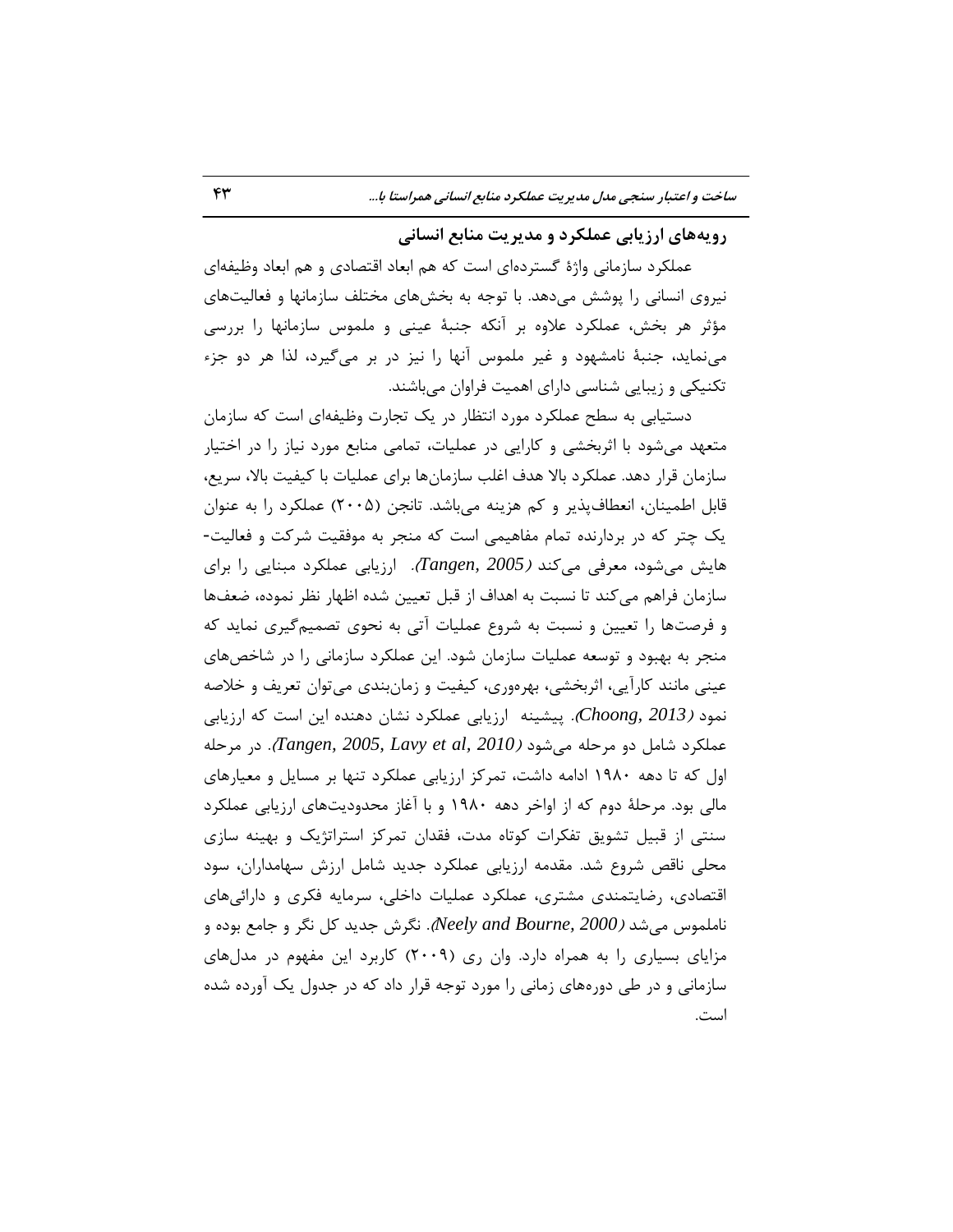# **رٍیِّای ارسیاتی ػولکزز ٍ هسیزیت هٌاتغ اًساًی**

عملكرد سازماني واژهٔ گستردهاي است كه هم ابعاد اقتصادي و هم ابعاد وظيفهاي نیروی انسانی را پوشش میدهد. با توجه به بخشهای مختلف سازمانها و فعالیتهای مؤثر هر بخش، عملکرد علاوه بر آنکه جنبهٔ عینی و ملموس سازمانها را بررسی می نماید، جنبهٔ نامشهود و غیر ملموس آنها را نیز در بر میگیرد، لذا هر دو جزء تکنیکی و زیبایی شناسی دارای اهمیت فراوان میباشند.

دستیابی به سطح عملکرد مورد انتظار در یک تجارت وظیفهای است که سازمان متعهد میشود با اثربخشی و کارایی در عملیات، تمامی منابع مورد نیاز را در اختیار سازمان قرار دهد. عملكرد بالا هدف اغلب سازمانها براي عمليات با كيفيت بالا، سريع، قابل اطمينان، انعطاف يذير و كم هزينه مي باشد. تانجن (٢٠٠۵) عملكرد را به عنوان یک چتر که در بردارنده تمام مفاهیمی است که منجر به موفقیت شرکت و فعالیت-هایش میشود، معرفی میکند *(Tangen, 2005).* ارزیابی عملکرد مبنایی را برای سازمان فراهم مى كند تا نسبت به اهداف از قبل تعيين شده اظهار نظر نموده، ضعفها و فرصتها را تعیین و نسبت به شروع عملیات آتی به نحوی تصمیمگیری نماید که منجر به بهبود و توسعه عمليات سازمان شود. اين عملكرد سازماني را در شاخصهاي عینی مانند کارآیی، اثربخشی، بهرهوری، کیفیت و زمانبندی می توان تعریف و خلاصه نمود *(2013 ,Choong).* پیشینه ارزیابی عملکرد نشان دهنده این است که ارزیابی عملكرد شامل دو مرحله مي شود *(Tangen, 2005, Lavy et al, 2010).* در مرحله اوِل که تا دهه ۱۹۸۰ ادامه داشت، تمرکز ارزیابی عملکرد تنها بر مسایل و معیارهای مالی بود. مرحلهٔ دوم که از اواخر دهه ۱۹۸۰ و با آغاز محدودیتهای ارزیابی عملکرد سنتی از قبیل تشویق تفکرات کوتاه مدت، فقدان تمرکز استراتژیک و بهینه سازی محلی ناقص شروع شد. مقدمه ارزیابی عملکرد جدید شامل ارزش سهامداران، سود اقتصادی، رضایتمندی مشتری، عملکرد عملیات داخلی، سرمایه فکری و دارائیهای ناملموس می شد *(Neely and Bourne, 2000).* نگر ش جدید کل نگر و جامع بوده و مزاياي بسياري را به همراه دارد. وان ري (٢٠٠٩) كاربرد اين مفهوم در مدلهاي سازمانی و در طی دورههای زمانی را مورد توجه قرار داد که در جدول یک آورده شده است.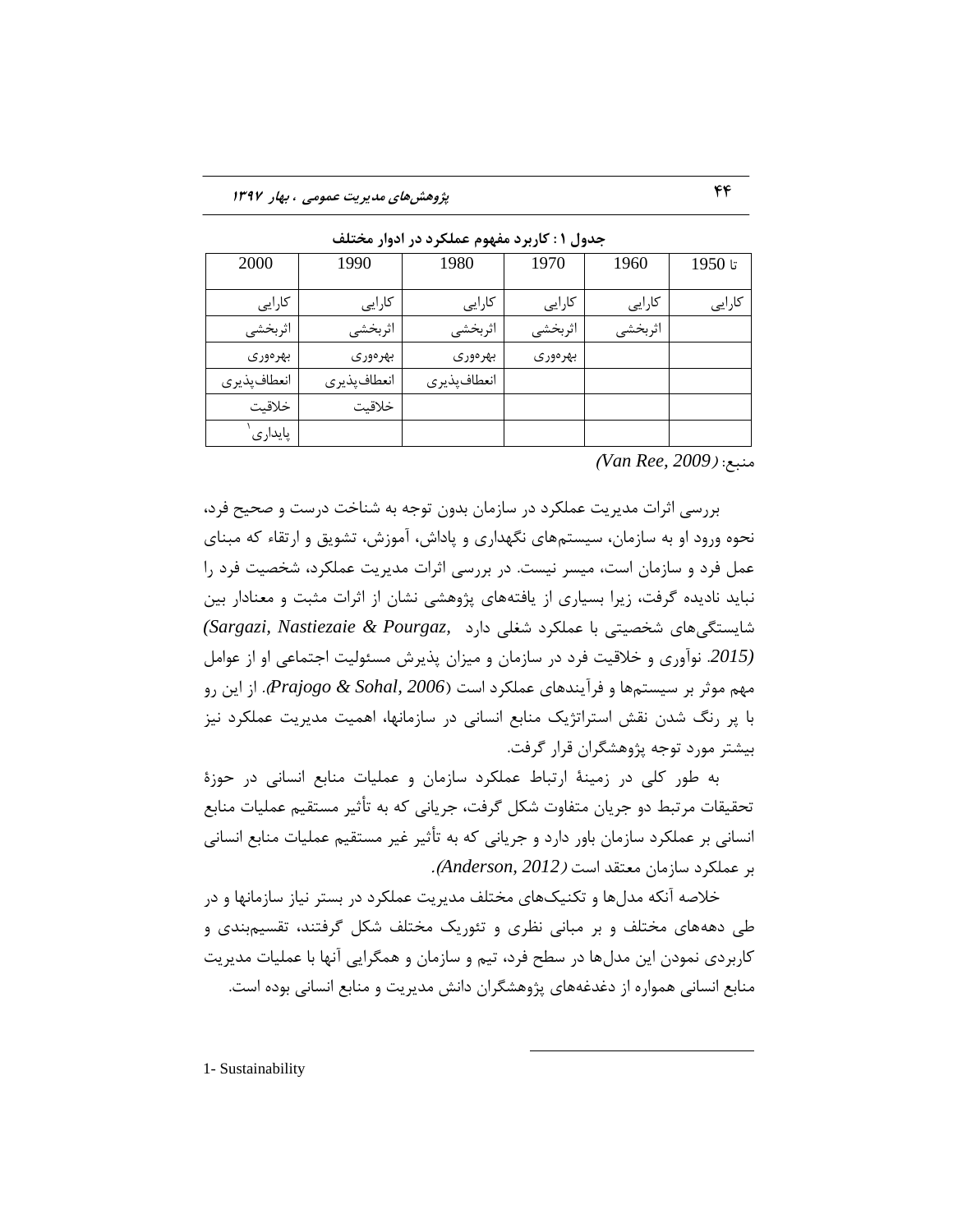| 2000         | 1990         | 1980         | 1970    | 1960    | تا 1950 |
|--------------|--------------|--------------|---------|---------|---------|
| كارايي       | كارايي       | كارايي       | كارايي  | كارايي  | کارایی  |
| اثربخشى      | اثربخشي      | اثربخشي      | اثربخشي | اثربخشى |         |
| بهرەورى      | بهرەورى      | بهرەورى      | بهرەورى |         |         |
| انعطاف پذيري | انعطاف پذيري | انعطاف پذيري |         |         |         |
| خلاقيت       | خلاقيت       |              |         |         |         |
| پايدارى      |              |              |         |         |         |

جدول **۱ : کاربرد مفهوم عملکرد در ادوار مختلف** 

هٌجغ: )*2009 ,Ree Van*)

بررسی اثرات مدیریت عملکرد در سازمان بدون توجه به شناخت درست و صحیح فرد، نحوه ورود او به سازمان، سیستمهای نگهداری و پاداش، آموزش، تشویق و ارتقاء كه مبنای عمل فرد و سازمان است، میسر نیست. در بررسی اثرات مدیریت عملکرد، شخصیت فرد را نبايد ناديده گرفت، زيرا بسيارى از يافتههاى پژوهشى نشان از اثرات مثبت و معنادار بين قبٗؿتگّٖبٕ قره٘تٖ ثب ػولىطز قغلٖ زاضز *,Pourgaz & Nastiezaie ,Sargazi( (2015.* نوآورى و خلاقيت فرد در سازمان و ميزان پذيرش مسئوليت اجتماعي او از عوامل ههم موثر بر سيستمها و فرآيندهاى عملكرد است (Prajogo & Sohal, 2006). از اين رو با پر رنگ شدن نقش استراتژیک منابع انسانی در سازمانها، اهمیت مدیریت عملکرد نیز بیشتر مورد توجه پژوهشگران قرار گرفت.

به طور کلی در زمینهٔ ارتباط عملکرد سازمان و عملیات منابع انسانی در حوزهٔ تحقیقات مرتبط دو جریان متفاوت شکل گرفت، جریانی که به تأثیر مستقیم عملیات منابع انسانى بر عملكرد سازمان باور دارد و جريانى كه به تأثير غير مستقيم عمليات منابع انسانى ثط ػولىطز ؾبظهبى هؼتمس اؾت )*2012 ,Anderson*).

خلاصه آنکه مدلها و تکنیکهای مختلف مدیریت عملکرد در بستر نیاز سازمانها و در طی دهههای مختلف و بر مبانی نظری و تئوریک مختلف شکل گرفتند، تقسیمبندی و کاربردی نمودن این مدلها در سطح فرد، تیم و سازمان و همگرایی آنها با عملیات مدیریت منابع انسانی همواره از دغدغههای پژوهشگران دانش مدیریت و منابع انسانی بوده است.

 $\overline{a}$ 

1- Sustainability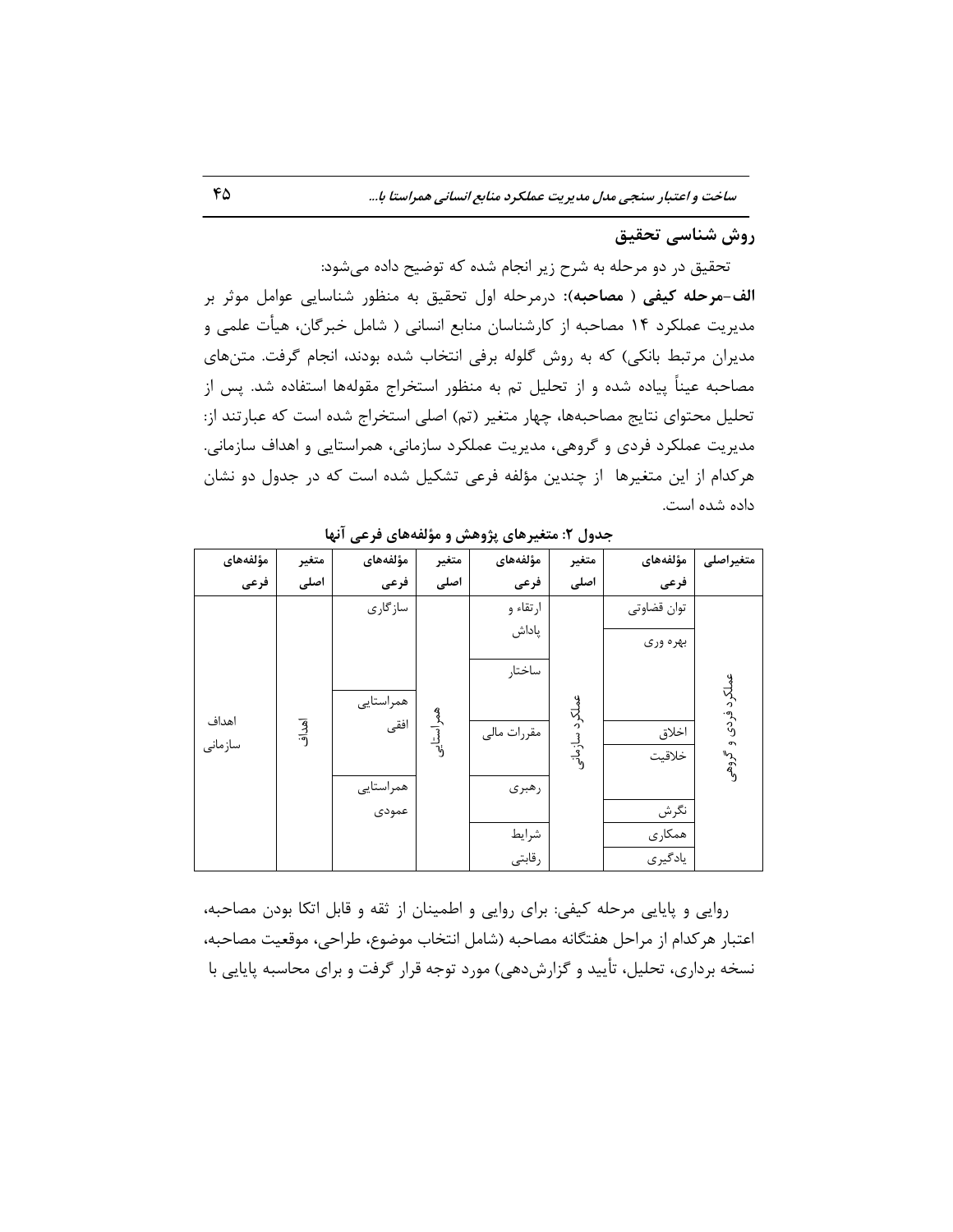# **رٍش ضٌاسی تحقیق**

تحقیق در دو مرحله به شرح زیر انجام شده که توضیح داده می شود: **الف-مرحله کیفی ( مصاحبه):** درمرحله اول تحقیق به منظور شناسایی عوامل موثر بر مدیریت عملکرد ۱۴ مصاحبه از کارشناسان منابع انسانی ( شامل خبرگان، هیأت علمی و مديران مرتبط بانكى) كه به روش گلوله برفي انتخاب شده بودند، انجام گرفت. متنِ هاى مصاحبه عیناً پیاده شده و از تحلیل تم به منظور استخراج مقولهها استفاده شد. پس از تحلیل محتوای نتایج مصاحبهها، چهار متغیر (تم) اصلی استخراج شده است که عبارتند از: مدیریت عملکرد فردی و گروهی، مدیریت عملکرد سازمانی، همراستایی و اهداف سازمانی. هركدام از اين متغيرها ًاز چندين مؤلفه فرعى تشكيل شده است كه در جدول دو نشان داده شده است.

| مؤلفههاى | متغير | مؤلفههاى  | متغير     | مؤلفههاى    | متغير        | مؤلفههاى    | متغيراصلى   |
|----------|-------|-----------|-----------|-------------|--------------|-------------|-------------|
| فرعى     | اصلى  | فرعى      | اصلى      | فرعى        | اصلى         | فرعى        |             |
|          |       | سازگاری   |           | ارتقاء و    |              | توان قضاوتي |             |
|          |       |           |           | پاداش       |              | بهره وري    |             |
|          |       |           |           |             |              |             |             |
|          |       |           |           | ساختار      |              |             |             |
|          |       | همراستايي |           |             |              |             | لكرد فردى و |
| اهداف    | اهداف | افقى      | همراستايى | مقررات مالى |              | اخلاق       |             |
| سازمانى  |       |           |           |             | لكرد سازمانى | خلاقيت      | مہیں<br>مول |
|          |       | همراستايي |           | رهبرى       |              |             |             |
|          |       | عمودى     |           |             |              | نگرش        |             |
|          |       |           |           | شرايط       |              | همكارى      |             |
|          |       |           |           | رقابتي      |              | يادگيري     |             |

جدول ۲: متغیرهای پژوهش و مؤلفههای فرعی آنها

روایی و پایایی مرحله کیفی: برای روایی و اطمینان از ثقه و قابل اتکا بودن مصاحبه، اعتبار هركدام از مراحل هفتگانه مصاحبه (شامل انتخاب موضوع، طراحي، موقعيت مصاحبه، نسخه برداری، تحلیل، تأیید و گزارشدهی) مورد توجه قرار گرفت و برای محاسبه پایایی با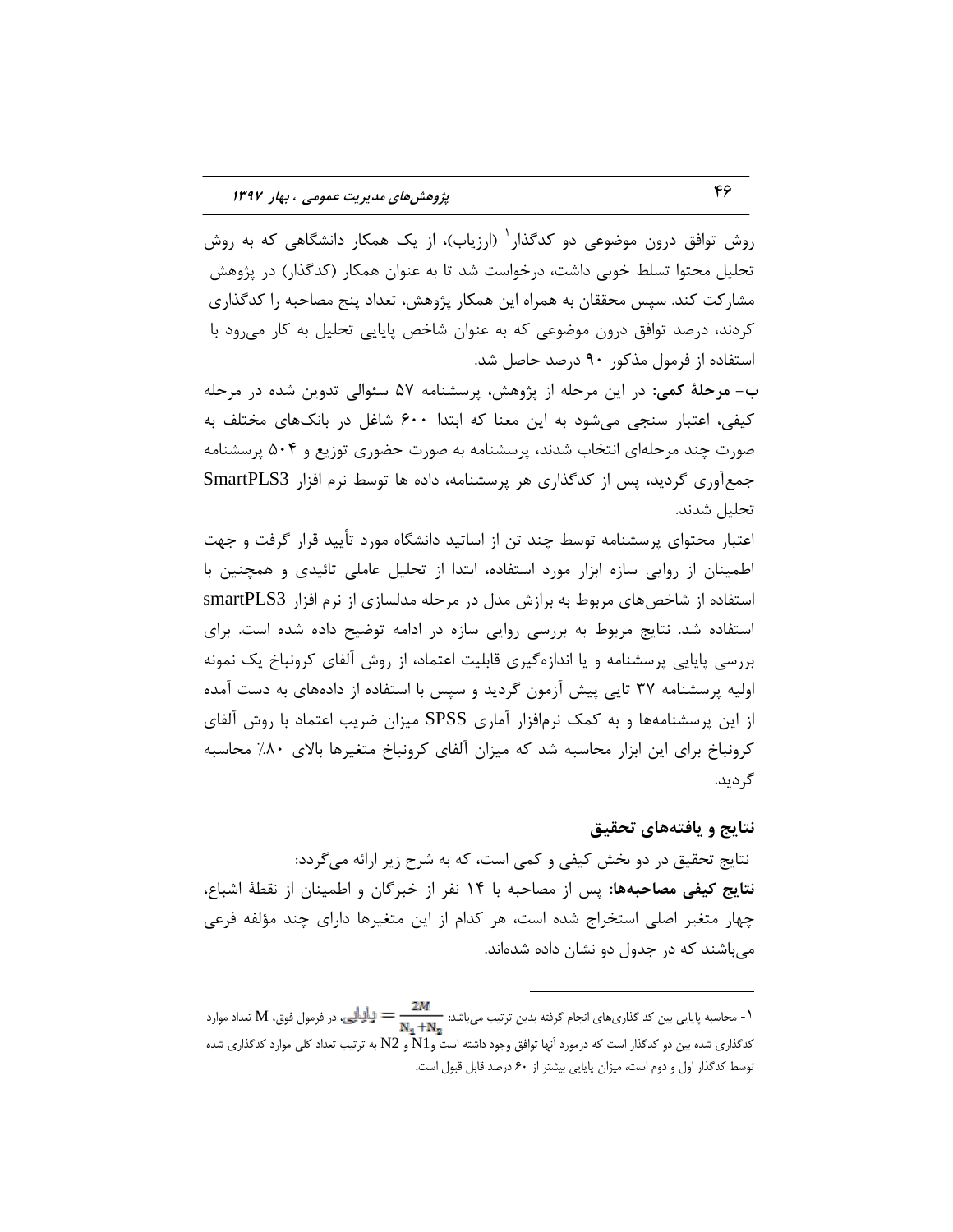روش توافق درون موضوعی دو کدگذار<sup>٬</sup> (ارزیاب)، از یک همکار دانشگاهی که به روش تحلیل محتوا تسلط خوبی داشت، درخواست شد تا به عنوان همکار (کدگذار) در پژوهش مشاركت كند. سپس محققان به همراه این همكار پژوهش، تعداد پنج مصاحبه را كدگذارى کردند، درصد توافق درون موضوعی که به عنوان شاخص پایایی تحلیل به کار می<sub>،</sub>رود با استفاده از فرمول مذکور ۹۰ درصد حاصل شد.

**ب- هرحلۀ کمی:** در این مرحله از پژوهش، پرسشنامه ۵۷ سئوالی تدوین شده در مرحله کیفی، اعتبار سنجی می شود به این معنا که ابتدا ۶۰۰ شاغل در بانکهای مختلف به صورت چند مرحلهِای انتخاب شدند، پرسشنامه به صورت حضوری توزیع و ۵۰۴ پرسشنامه جمعآوری گردید، پس از کدگذاری هر پرسشنامه، داده ها توسط نرم افزار SmartPLS3 تحليل شدند.

اعتبار محتوای پرسشنامه توسط چند تن از اساتید دانشگاه مورد تأیید قرار گرفت و جهت اطمينان از روايي سازه ابزار مورد استفاده، ابتدا از تحليل عاملي تائيدي و همچنين با استفاده از شاخصهای مربوط به برازش مدل در مرحله مدلسازی از نرم افزار smartPLS3 استفاده شد. نتایج مربوط به بررسی روایی سازه در ادامه توضیح داده شده است. برای بررسی پایایی پرسشنامه و یا اندازهِگیری قابلیت اعتماد، از روش آلفای کرونباخ یک نمونه اولیه پرسشنامه ۳۷ تایی پیش آزمون گردید و سپس با استفاده از دادههای به دست آمده از اين پرسشنامهها و به كمک نرمافزار آماري SPSS ميزان ضريب اعتماد با روش آلفاي کرونباخ برای این ابزار محاسبه شد که میزان آلفای کرونباخ متغیرها بالای ۸۰٪ محاسبه گر ديد.

### **ًتایج ٍ یافتِّای تحقیق**

نتايج تحقيق در دو بخش كيفي و كمي است، كه به شرح زير ارائه ميگردد: نتایج کیفی مصاحبهها: پس از مصاحبه با ۱۴ نفر از خبرگان و اطمینان از نقطهٔ اشباع، چهار متغیر اصلی استخراج شده است، هر کدام از این متغیرها دارای چند مؤلفه فرعی میِ باشند که در جدول دو نشان داده شدهاند.

 $\overline{a}$ 

<sup>1 -</sup> محاسبه پايايي بين كد گذاري.ايي بين كد گذاريهاي انجام گرفته بدين ترتيب ميباشد:  $\frac{2M}{N_1+N_2}=\frac{1}{N_1+N_2}$  تعداد موارد كدگذاري شده بين دو كدگذار است كه درمورد آنها توافق وجود داشته است و1N و 2N به تزتيب تعداد كلي موارد كدگذاري شده توسط كدگذار اول و دوم است، ميزان پايايي بيشتر از ۶۰ درصد قابل قبول است.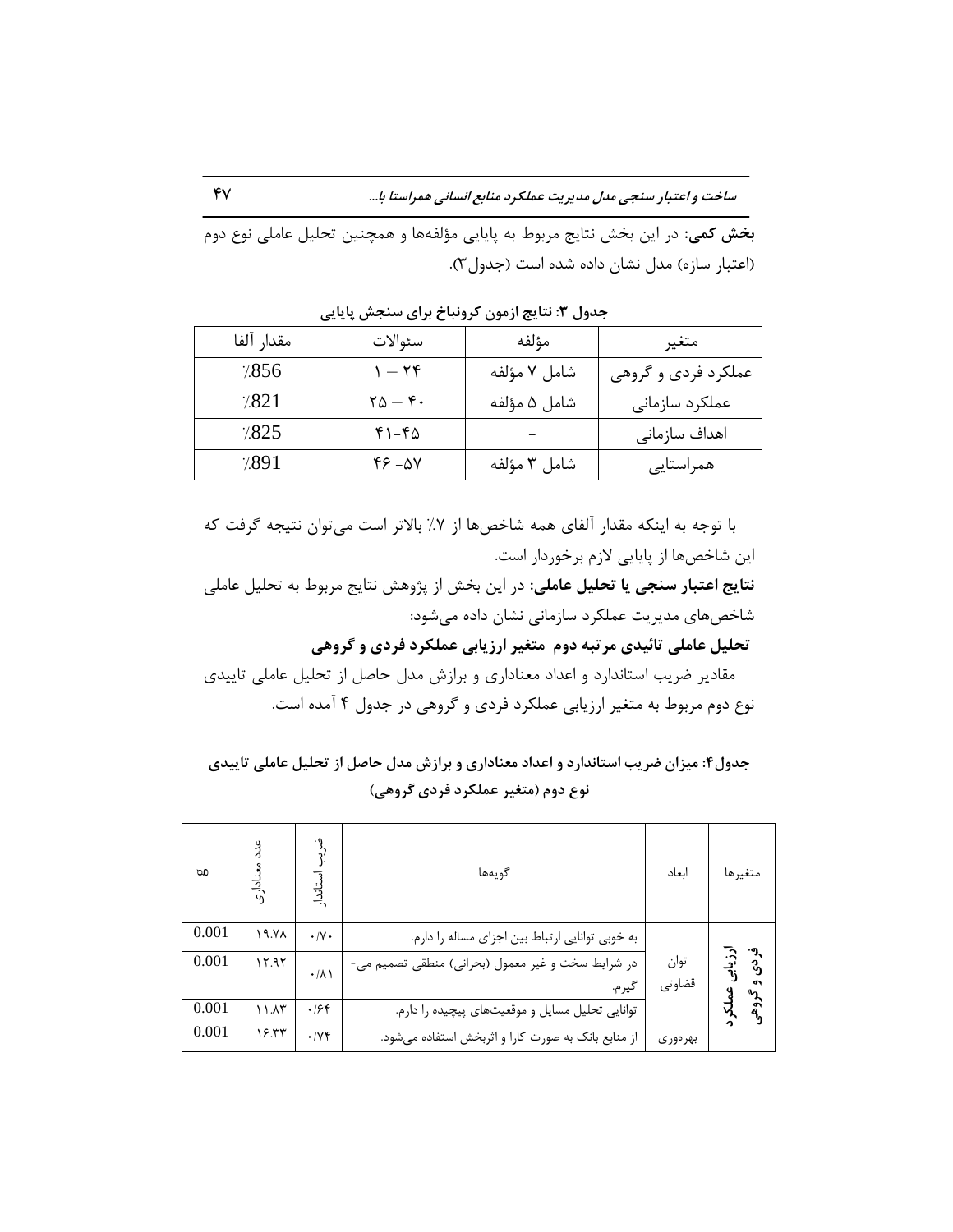**بخش کمی**: در این بخش نتایج مربوط به پایایی مؤلفهها و همچنین تحلیل عاملی نوع دوم (اعتبار سازه) مدل نشان داده شده است (جدول ٣).

| مقدار آلفا | سئوالات                                | مؤلفه        | متغير               |
|------------|----------------------------------------|--------------|---------------------|
| 7.856      | $1-\zeta\zeta$                         | شامل ٧ مؤلفه | عملکرد فردی و گروهی |
| 7.821      | $\mathbf{Y} \Delta - \mathbf{Y} \cdot$ | شامل ۵ مؤلفه | عملكرد سازمانى      |
| 7.825      | $f1-f0$                                |              | اهداف سازمانى       |
| 7.891      | $45 - 24$                              | شامل ٣ مؤلفه | همراستايي           |

**جسٍل :3 ًتایج اسهَى کزًٍثاخ تزای سٌجص پایایی** 

با توجه به اینکه مقدار آلفای همه شاخصها از ۷٪ بالاتر است می توان نتیجه گرفت که اين شاخصها از پايايي لازم برخوردار است. **نتایج اعتبار سنجی یا تحلیل عاملی**: در این بخش از پژوهش نتایج مربوط به تحلیل عاملی شاخصهای مدیریت عملکرد سازمانی نشان داده می شود: تحلیل عاملی تائیدی مرتبه دوم ًتغیر ارزیابی عملکرد فردی و گروهی مقادیر ضریب استاندارد و اعداد معناداری و برازش مدل حاصل از تحلیل عاملی تاییدی نوع دوم مربوط به متغیر ارزیابی عملکرد فردی و گروهی در جدول ۴ آمده است.

جدول۴: میزان ضریب استاندارد و اعداد معناداری و برازش مدل حاصل از تحلیل عاملی تاییدی **ًَع زٍم )هتغیز ػولکزز فززی گزٍّی(**

| <b>b</b> | ور<br>د<br>منادا <sub>ر</sub> ی | ٠J<br>استاند       | گويەھا                                                     | اىعاد          | متغيرها |
|----------|---------------------------------|--------------------|------------------------------------------------------------|----------------|---------|
| 0.001    | <b>AY.11</b>                    | $\cdot$ /Y $\cdot$ | به خوبی توانایی ارتباط بین اجزای مساله را دارم.            |                |         |
| 0.001    | 17.97                           | $\cdot/\lambda$    | در شرایط سخت و غیر معمول (بحرانی) منطقی تصمیم می-<br>گيرم. | توان<br>قضاوتي |         |
| 0.001    | 11.15                           | .198               | توانایی تحلیل مسایل و موقعیتهای پیچیده را دارم.            |                |         |
| 0.001    | ۱۶.۳۳                           | .1Yf               | از منابع بانک به صورت کارا و اثربخش استفاده میشود.         | بهرەورى        |         |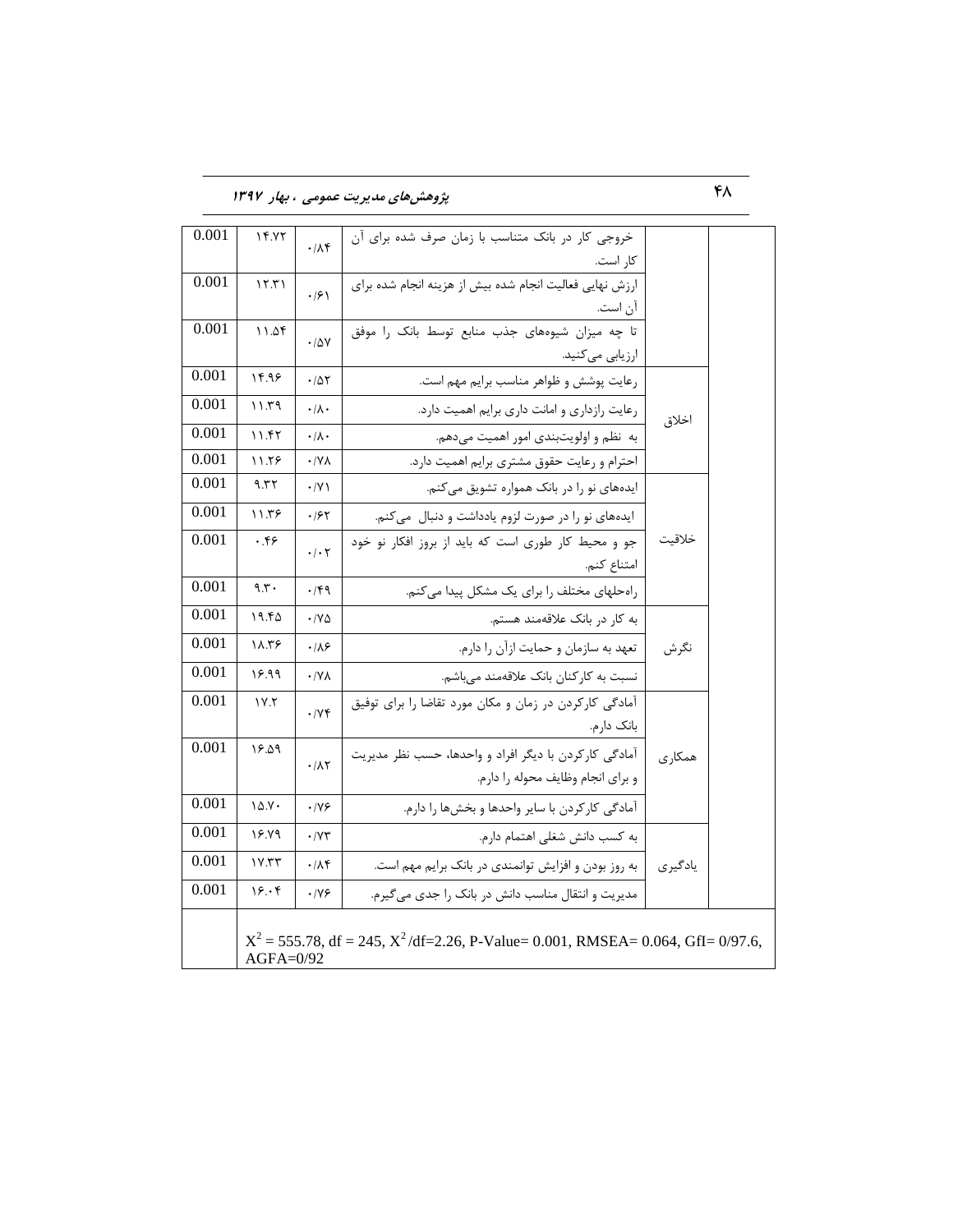48 **پژٍّصّای هسیزیت ػوَهی ، تْار 1397**

| 0.001 | 14.77        | $4\lambda$                | خروجی کار در بانک متناسب با زمان صرف شده برای آن                                      |         |  |
|-------|--------------|---------------------------|---------------------------------------------------------------------------------------|---------|--|
|       |              |                           | كار است.                                                                              |         |  |
| 0.001 | 15.71        | $\cdot$ /۶)               | ارزش نهایی فعالیت انجام شده بیش از هزینه انجام شده برای                               |         |  |
|       |              |                           | آن است.                                                                               |         |  |
| 0.001 | 11.28        | $\cdot$ / $\Delta V$      | تا چه میزان شیوههای جذب منابع توسط بانک را موفق                                       |         |  |
|       |              |                           | ارزيابي مي كنيد.                                                                      |         |  |
| 0.001 | 14.98        | .705                      | رعایت پوشش و ظواهر مناسب برایم مهم است.                                               |         |  |
| 0.001 | ۱۱.۳۹        | $\cdot/\lambda$ .         | رعایت رازداری و امانت داری برایم اهمیت دارد.                                          | اخلاق   |  |
| 0.001 | ۱۱.۴۲        | $\cdot/\lambda$ .         | به نظم و اولویتبندی امور اهمیت میدهم.                                                 |         |  |
| 0.001 | 11.58        | $\cdot$ /Y $\wedge$       | احترام و رعایت حقوق مشتری برایم اهمیت دارد.                                           |         |  |
| 0.001 | 9.55         | $\cdot$ /Y \              | ایدههای نو را در بانک همواره تشویق می کنم.                                            |         |  |
| 0.001 | ۱۱.۳۶        | .185                      | ایدههای نو را در صورت لزوم یادداشت و دنبال می کنم.                                    |         |  |
| 0.001 | .59          | $\cdot$ / $\cdot$ $\cdot$ | جو و محیط کار طوری است که باید از بروز افکار نو خود                                   | خلاقيت  |  |
|       |              |                           | امتناع كنم.                                                                           |         |  |
| 0.001 | 9.5          | .149                      | راه حلهای مختلف را برای یک مشکل پیدا می کنم.                                          |         |  |
| 0.001 | ۱۹.۴۵        | $\cdot$ /Y $\Delta$       | به کار در بانک علاقهمند هستم.                                                         |         |  |
| 0.001 | 18.38        | $\cdot$ / $\wedge$ ۶      | تعهد به سازمان و حمایت ازآن را دارم.                                                  | نگرش    |  |
| 0.001 | 18.99        | $\cdot$ /Y $\wedge$       | نسبت به کارکنان بانک علاقهمند میباشم.                                                 |         |  |
| 0.001 | 1Y.5         |                           | آمادگی کارکردن در زمان و مکان مورد تقاضا را برای توفیق                                |         |  |
|       |              | .199                      | بانک دارم.                                                                            |         |  |
| 0.001 | 18.09        |                           | آمادگی کارکردن با دیگر افراد و واحدها، حسب نظر مدیریت                                 | همکاری  |  |
|       |              | .11                       | و برای انجام وظایف محوله را دارم.                                                     |         |  |
| 0.001 | $10.7 \cdot$ |                           |                                                                                       |         |  |
|       |              | $\cdot$ /Y&               | آمادگی کارکردن با سایر واحدها و بخشها را دارم.                                        |         |  |
| 0.001 | 18.79        | $\cdot$ / $\vee\tau$      | به كسب دانش شغلى اهتمام دارم.                                                         |         |  |
| 0.001 | 1Y.77        | .11                       | به روز بودن و افزایش توانمندی در بانک برایم مهم است.                                  | يادگيري |  |
| 0.001 | ۱۶۰۴         | .199                      | مدیریت و انتقال مناسب دانش در بانک را جدی می گیرم.                                    |         |  |
|       |              |                           |                                                                                       |         |  |
|       |              |                           | $X^2 = 555.78$ , df = 245, $X^2$ /df=2.26, P-Value= 0.001, RMSEA= 0.064, GfI= 0/97.6, |         |  |
|       | $AGFA=0/92$  |                           |                                                                                       |         |  |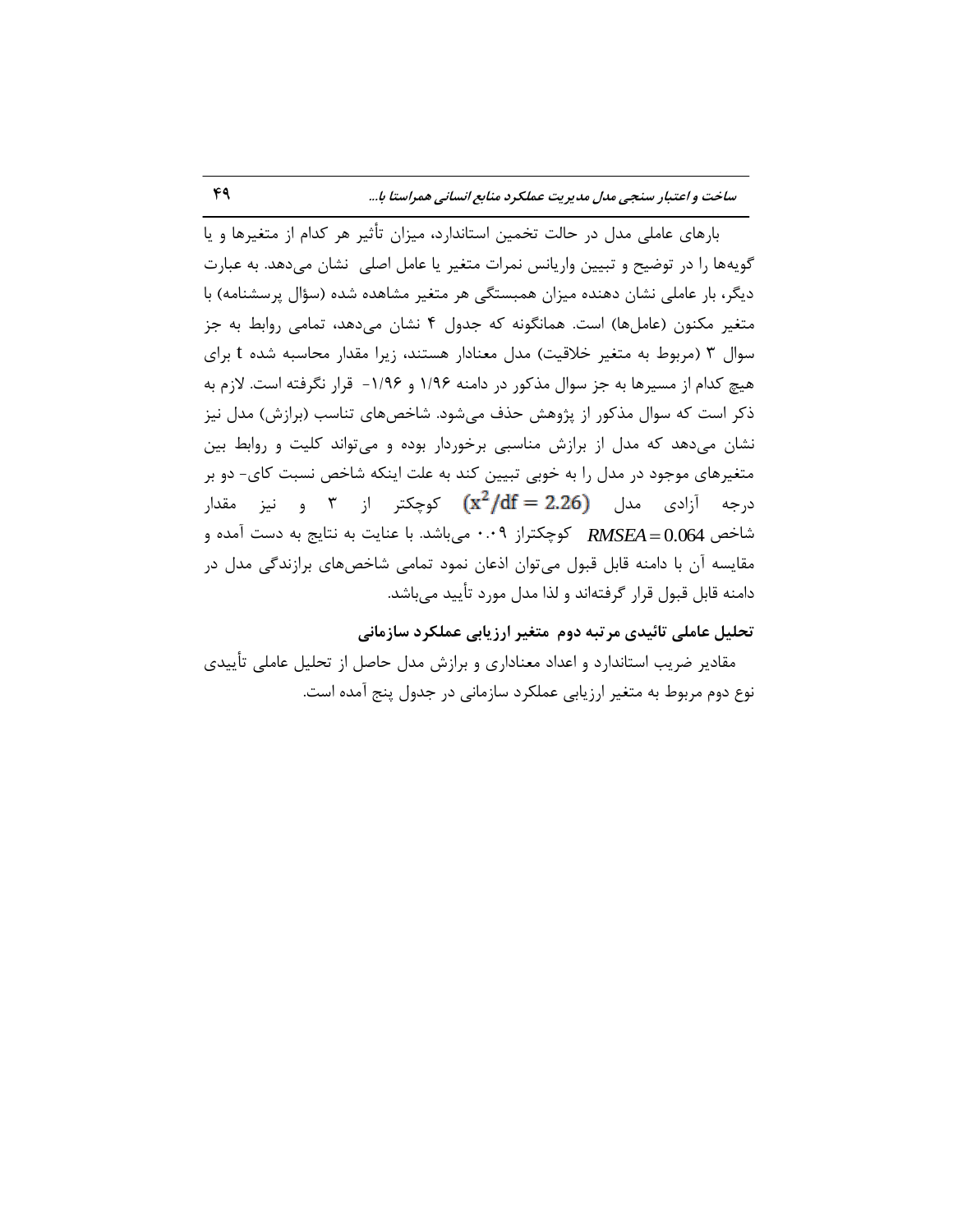بارهای عاملی مدل در حالت تخمین استاندارد، میزان تأثیر هر کدام از متغیرها و یا گویهها را در توضیح و تبیین واریانس نمرات متغیر یا عامل اصلی ِ نشان میدهد. به عبارت دیگر، بار عاملی نشان دهنده میزان همبستگی هر متغیر مشاهده شده (سؤال پرسشنامه) با متغیر مکنون (عاملها) است. همانگونه که جدول ۴ نشان میدهد، تمامی روابط به جز سوال ۳ (مربوط به متغیر خلاقیت) مدل معنادار هستند، زیرا مقدار محاسبه شده t برای هیچ کدام از مسیرها به جز سوال مذکور در دامنه ۱/۹۶ و ۱/۹۶- قرار نگرفته است. لازم به ذکر است که سوال مذکور از پژوهش حذف میشود. شاخصهای تناسب (برازش) مدل نیز نشان میٍ دهد که مدل از برازش مناسبی برخوردار بوده و می تواند کلیت و روابط بین متغيرهاى موجود در مدل را به خوبى تبيين كند به علت اينكه شاخص نسبت كاى- دو بر درجه آزادی مدل  $(x^2/df = 2.26)$  کوچکتر از ۳ و نیز مقدار شاخص RMSEA=0.064 كوچكتراز ۰.۰۹ مىباشد. با عنايت به نتايج به دست آمده و مقايسه آن با دامنه قابل قبول میٍتوان اذعان نمود تمامی شاخصهای برازندگی مدل در دامنه قابل قبول قرار گرفتهاند و لذا مدل مورد تأیید میباشد.

تحلیل عاملی تائیدی مرتبه دوم متغیر ارزیابی عملکرد سازمانی

مقادیر ضریب استاندارد و اعداد معناداری و برازش مدل حاصل از تحلیل عاملی تأییدی نوع دوم مربوط به متغیر ارزیابی عملکرد سازمانی در جدول پنج آمده است.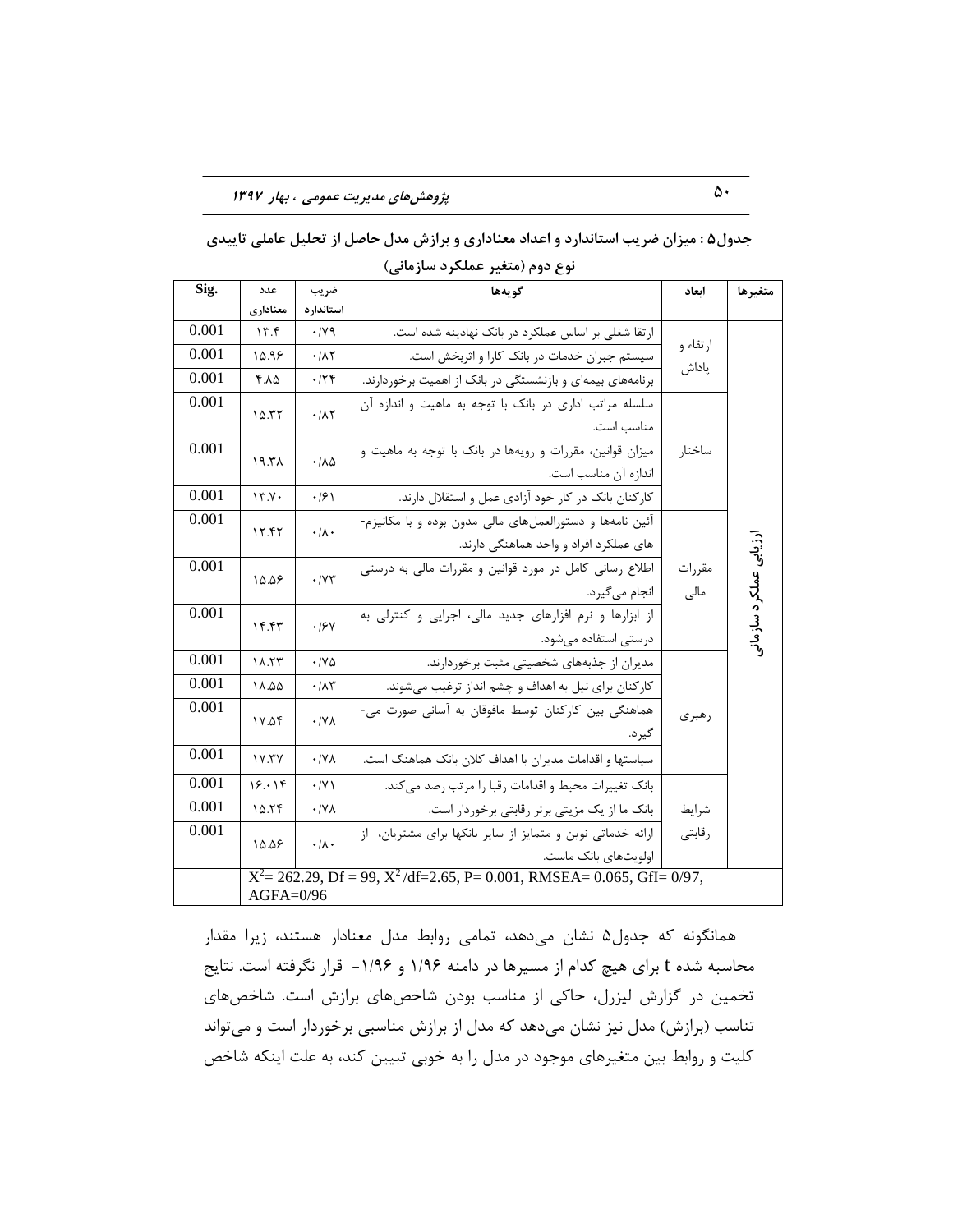|       |                   |                              | يوع دوم (متعير عملكرد سازماني)                                               |          |                       |
|-------|-------------------|------------------------------|------------------------------------------------------------------------------|----------|-----------------------|
| Sig.  | عدد               | ضريب                         | گويەھا                                                                       | ابعاد    | متغيرها               |
|       | معناداري          | استاندارد                    |                                                                              |          |                       |
| 0.001 | 17.5              | $\cdot$ / $\vee$ 9           | ارتقا شغلی بر اساس عملکرد در بانک نهادینه شده است.                           |          |                       |
| 0.001 | 10.98             | $\cdot$ / $\wedge\tau$       | سیستم جبران خدمات در بانک کارا و اثربخش است.                                 | ارتقاء و |                       |
| 0.001 | 7.٨۵              | .75                          | برنامههای بیمهای و بازنشستگی در بانک از اهمیت برخوردارند.                    | پاداش    |                       |
| 0.001 | 10.57             | $\cdot/\lambda\Upsilon$      | سلسله مراتب اداری در بانک با توجه به ماهیت و اندازه آن                       |          |                       |
|       |                   |                              | مناسب است.                                                                   |          |                       |
| 0.001 | 19.7 <sub>A</sub> | $\cdot/\lambda\Delta$        | میزان قوانین، مقررات و رویهها در بانک با توجه به ماهیت و                     | ساختار   |                       |
|       |                   |                              | اندازه آن مناسب است.                                                         |          |                       |
| 0.001 | 17.7.             | $\cdot$ /۶ \                 | کارکنان بانک در کار خود آزادی عمل و استقلال دارند.                           |          |                       |
| 0.001 | ۱۲.۴۲             | $\cdot/\lambda \cdot$        | آئین نامهها و دستورالعملهای مالی مدون بوده و با مکانیزم-                     |          |                       |
|       |                   |                              | های عملکرد افراد و واحد هماهنگی دارند.                                       |          |                       |
| 0.001 | 10.08             | $\cdot$ / $\vee\tau$         | اطلاع رسانی کامل در مورد قوانین و مقررات مالی به درستی                       | مقررات   | رزیابی عملکرد سازمانر |
|       |                   |                              | انجام میگیرد.                                                                | مالی     |                       |
| 0.001 | ۱۴.۴۳             | .19V                         | از ابزارها و نرم افزارهای جدید مالی، اجرایی و کنترلی به                      |          |                       |
|       |                   |                              | درستی استفاده میشود.                                                         |          |                       |
| 0.001 | 11.55             | $\cdot$ / $\vee$ $\triangle$ | مدیران از جذبههای شخصیتی مثبت برخوردارند.                                    |          |                       |
| 0.001 | 18.00             | $\cdot/\lambda\tau$          | کارکنان برای نیل به اهداف و چشم انداز ترغیب میشوند.                          |          |                       |
| 0.001 | ۱۷.۵۴             | $\cdot$ / Y A                | هماهنگی بین کارکنان توسط مافوقان به آسانی صورت می-                           | رهبري    |                       |
|       |                   |                              | گير د.                                                                       |          |                       |
| 0.001 | <b>IV.TY</b>      | $\cdot$ /YA                  | سیاستها و اقدامات مدیران با اهداف کلان بانک هماهنگ است.                      |          |                       |
| 0.001 | 18.18             | $\cdot$ /Y)                  | بانک تغییرات محیط و اقدامات رقبا را مرتب رصد می کند.                         |          |                       |
| 0.001 | 10.79             | $\cdot$ /YA                  | بانک ما از یک مزیتی برتر رقابتی برخوردار است.                                | شرايط    |                       |
| 0.001 | 10.08             | $\cdot/\lambda \cdot$        | ارائه خدماتی نوین و متمایز از سایر بانکها برای مشتریان، از                   | رقابتى   |                       |
|       |                   |                              | اولويتهاى بانک ماست.                                                         |          |                       |
|       |                   |                              | $X^2 = 262.29$ , Df = 99, $X^2$ /df=2.65, P= 0.001, RMSEA= 0.065, GfI= 0/97, |          |                       |
|       | $AGFA=0/96$       |                              |                                                                              |          |                       |

جدول۵ : میزان ضریب استاندارد و اعداد معناداری و برازش مدل حاصل از تحلیل عاملی تاییدی

**ًَع زٍم )هتغیز ػولکزز ساسهاًی(**

همانگونه که جدول۵ نشان میدهد، تمامی روابط مدل معنادار هستند، زیرا مقدار محاسبه شده t برای هیچ کدام از مسیرها در دامنه ۱/۹۶ و ۱/۹۶- قرار نگرفته است. نتایج تخمين در گزارش ليزرل، حاكي از مناسب بودن شاخصهاى برازش است. شاخصهاى تناسب (برازش) مدل نیز نشان میدهد که مدل از برازش مناسبی برخوردار است و می تواند کليت و روابط بين متغيرهاى موجود در مدل را به خوبي تبيين کند، به علت اينکه شاخص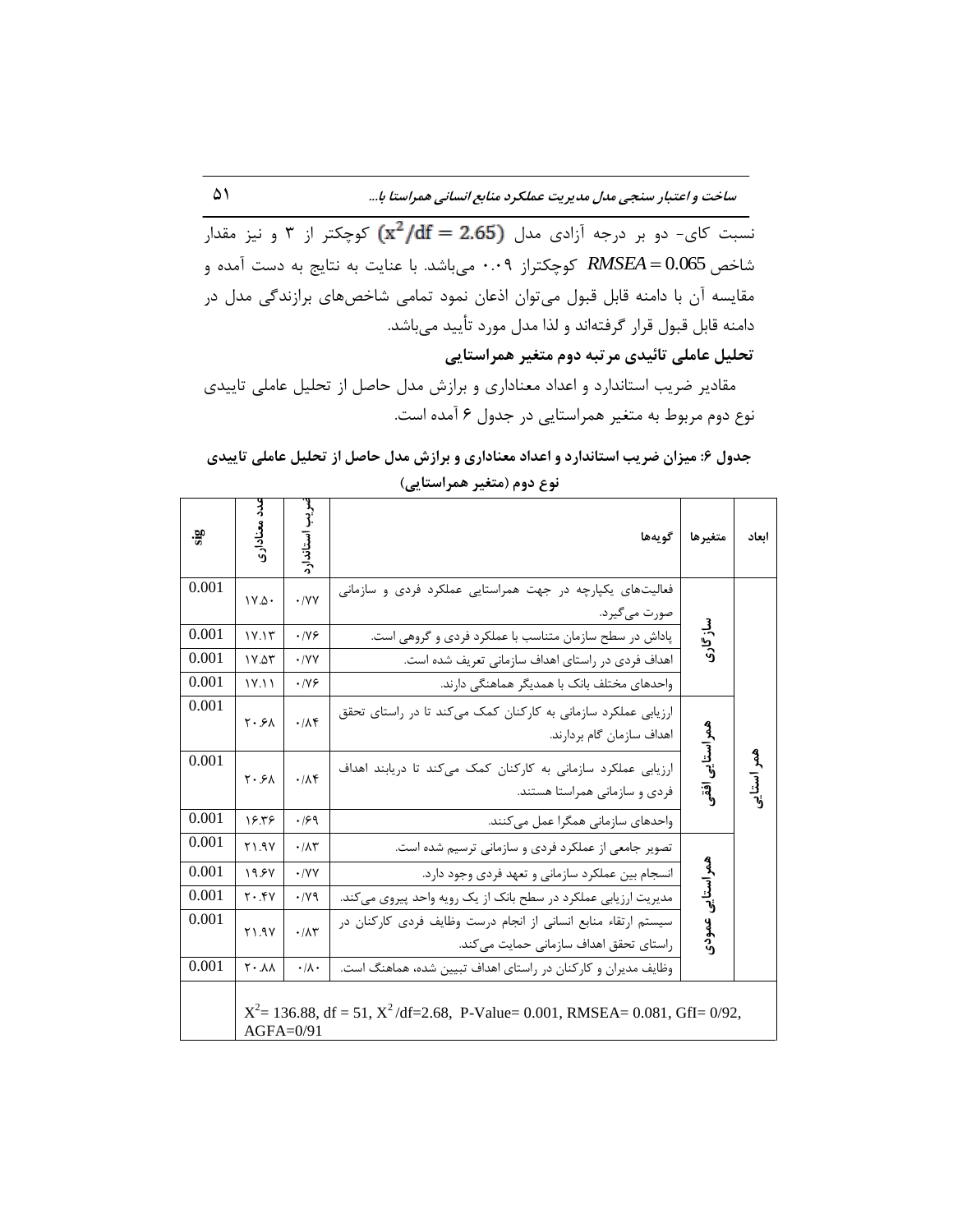نسبت کای- دو بر درجه آزادی مدل  $\mathrm{d} f = 2.65$  کوچکتر از ۳ و نیز مقدار شاخص RMSEA = 0.065 كوچكتراز ۰.۰۹ مىباشد. با عنايت به نتايج به دست آمده و مقایسه آن با دامنه قابل قبول میتوان اذعان نمود تمامی شاخصهای برازندگی مدل در دامنه قابل قبول قرار گرفتهاند و لذا مدل مورد تأييد ميباشد.

تحلیل عاملی تائیدی مرتبه دوم متغیر همراستایی

مقادیر ضریب استاندارد و اعداد معناداری و برازش مدل حاصل از تحلیل عاملی تاییدی نوع دوم مربوط به متغیر همراستایی در جدول ۶ آمده است.

| sis                              | ىدد معنادارى                                                                                      | يب استاندارد                                      | گويەھا                                                                                                                                                                                                                                  | متغيرها         | ابعاد      |  |  |
|----------------------------------|---------------------------------------------------------------------------------------------------|---------------------------------------------------|-----------------------------------------------------------------------------------------------------------------------------------------------------------------------------------------------------------------------------------------|-----------------|------------|--|--|
| 0.001<br>0.001<br>0.001<br>0.001 | $V.\Delta$<br>1Y.1T<br>1Y.07<br>1Y.11                                                             | $\cdot$ /YY<br>.199<br>$\cdot$ /YY<br>$\cdot$ /Y& | فعالیتهای یکپارچه در جهت همراستایی عملکرد فردی و سازمانی<br>صورت مي گيرد.<br>پاداش در سطح سازمان متناسب با عملکرد فردی و گروهی است.<br>اهداف فردی در راستای اهداف سازمانی تعریف شده است.<br>واحدهای مختلف بانک با همدیگر هماهنگی دارند. | سازگاری         |            |  |  |
| 0.001                            | $Y \cdot 5A$                                                                                      | $\cdot/\Lambda f$                                 | ارزیابی عملکرد سازمانی به کارکنان کمک میکند تا در راستای تحقق<br>اهداف سازمان گام بردارند.                                                                                                                                              |                 |            |  |  |
| 0.001                            | $Y \cdot 5A$                                                                                      | .11                                               | ارزیابی عملکرد سازمانی به کارکنان کمک میکند تا دریابند اهداف<br>فردی و سازمانی همراستا هستند.                                                                                                                                           | همراستايي افقع  | همر استاير |  |  |
| 0.001                            | 18.58                                                                                             | .199                                              | واحدهای سازمانی همگرا عمل میکنند.                                                                                                                                                                                                       |                 |            |  |  |
| 0.001                            | Y1.9Y                                                                                             | $\cdot/\Lambda$ ۳                                 | تصویر جامعی از عملکرد فردی و سازمانی ترسیم شده است.                                                                                                                                                                                     |                 |            |  |  |
| 0.001                            | 19.5V                                                                                             | $\cdot$ /YY                                       | انسجام بین عملکرد سازمانی و تعهد فردی وجود دارد.                                                                                                                                                                                        |                 |            |  |  |
| 0.001                            | $Y \cdot .fY$                                                                                     | $\cdot$ / $\vee$ 9                                | مدیریت ارزیابی عملکرد در سطح بانک از یک رویه واحد پیروی می کند.                                                                                                                                                                         |                 |            |  |  |
| 0.001                            | Y1.9Y                                                                                             | .71                                               | سیستم ارتقاء منابع انسانی از انجام درست وظایف فردی کارکنان در<br>راستای تحقق اهداف سازمانی حمایت میکند.                                                                                                                                 | همراستايي عمودى |            |  |  |
| 0.001                            | $\Lambda$ $\gamma$                                                                                | $\cdot/\lambda$ .                                 | وظایف مدیران و کارکنان در راستای اهداف تبیین شده، هماهنگ است.                                                                                                                                                                           |                 |            |  |  |
|                                  | $X^2 = 136.88$ , df = 51, $X^2$ /df=2.68, P-Value= 0.001, RMSEA= 0.081, GfI= 0/92,<br>$AGFA=0/91$ |                                                   |                                                                                                                                                                                                                                         |                 |            |  |  |

جدول ۶: میزان ضریب استاندارد و اعداد معناداری و برازش مدل حاصل از تحلیل عاملی تاییدی **ًَع زٍم )هتغیز ّوزاستایی(**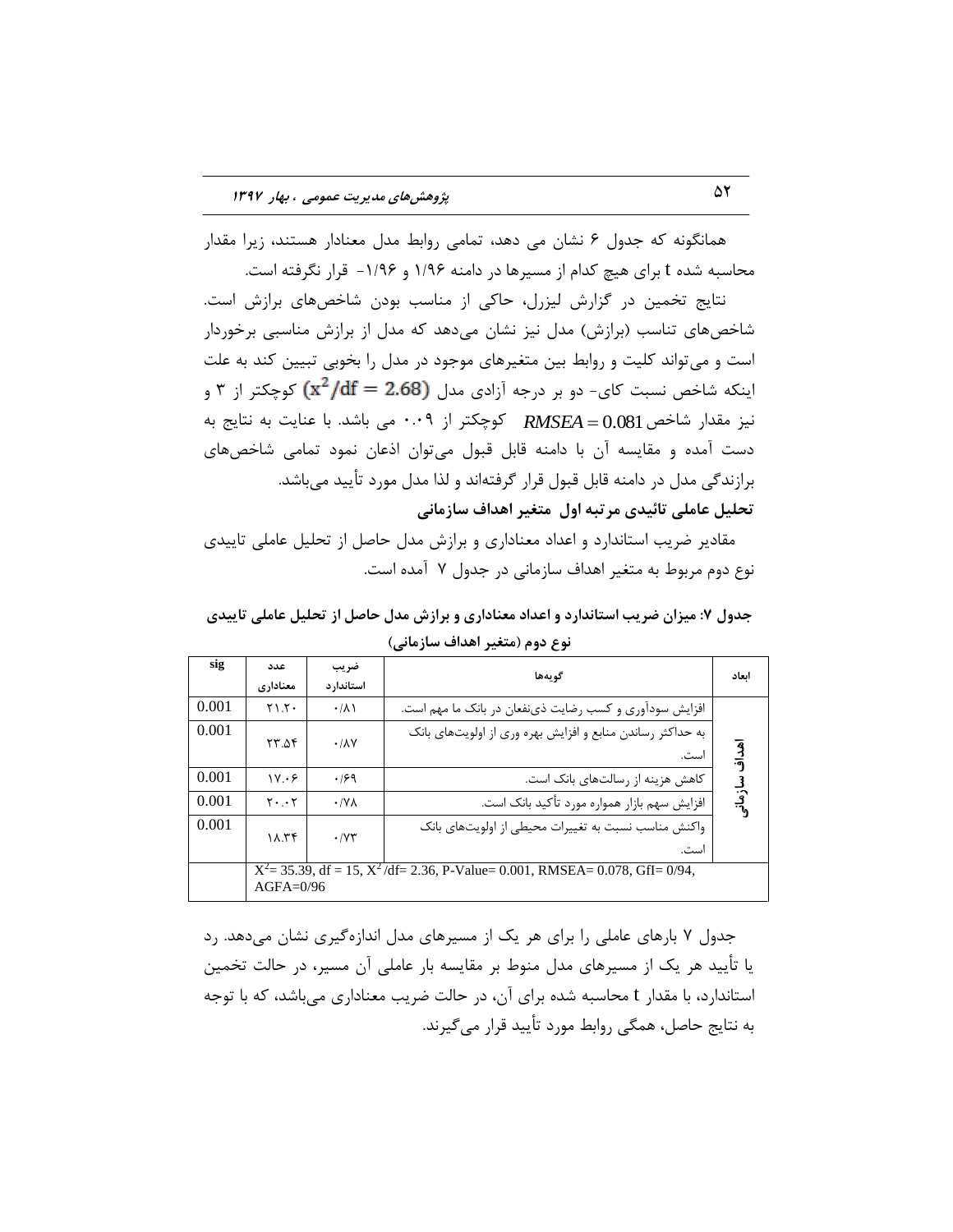همانگونه که جدول ۶ نشان می دهد، تمامی روابط مدل معنادار هستند، زیرا مقدار محاسبه شده t برای هیچ کدام از مسیرها در دامنه ۱/۹۶ و ۱/۹۶- قرار نگرفته است.

نتايج تخمين در گزارش ليزرل، حاكي از مناسب بودن شاخصهاى برازش است. شاخصهای تناسب (برازش) مدل نیز نشان میدهد که مدل از برازش مناسبی برخوردار است و مي تواند كليت و روابط بين متغيرهاي موجود در مدل را بخوبي تبيين كند به علت اینکه شاخص نسبت کای- دو بر درجه آزادی مدل  $\mathrm{(x^2/df = 2.68)}$  کوچکتر از ۳ و نیز مقدار شاخص RMSEA = 0.081 کوچکتر از ۰.۰۹ می باشد. با عنایت به نتایج به دست آمده و مقايسه آن با دامنه قابل قبول میتوان اذعان نمود تمامی شاخصهای برازندگی مدل در دامنه قابل قبول قرار گرفتهاند و لذا مدل مورد تأیید میباشد. تحلیل عاملی تائیدی مرتبه اول متغیر اهداف سازمانی

مقادیر ضریب استاندارد و اعداد معناداری و برازش مدل حاصل از تحلیل عاملی تاییدی نوع دوم مربوط به متغیر اهداف سازمانی در جدول ۷ آمده است.

جدول ۷: میزان ضریب استاندارد و اعداد معناداری و برازش مدل حاصل از تحلیل عاملی تاییدی **ًَع زٍم )هتغیز اّساف ساسهاًی(**

| sig   | عدد               | ضريب                         | گو بەھا                                                                               | اىعاد     |
|-------|-------------------|------------------------------|---------------------------------------------------------------------------------------|-----------|
|       | معناداری          | استاندار د                   |                                                                                       |           |
| 0.001 | $Y \setminus Y$   | $\cdot/\lambda$              | افزایش سودآوری و کسب رضایت ذینفعان در بانک ما مهم است.                                |           |
| 0.001 | ۲۳.۵۴             | $\cdot$ / $\lambda$ Y        | به حداکثر رساندن منابع و افزایش بهره وری از اولویتهای بانک<br>است.                    | آفداف     |
| 0.001 | 1V.69             | .199                         | کاهش هزینه از رسالتهای بانک است.                                                      |           |
| 0.001 | $Y \cdot \cdot Y$ | $\cdot$ /Y $\wedge$          | افزایش سهم بازار همواره مورد تأکید بانک است.                                          | ، سازمانی |
| 0.001 | 11.55             | $\cdot$ / $\Upsilon\Upsilon$ | واکنش مناسب نسبت به تغییرات محیطی از اولویتهای بانک<br>است.                           |           |
|       | $AGFA=0/96$       |                              | $X^2$ = 35.39, df = 15, $X^2$ /df = 2.36, P-Value = 0.001, RMSEA = 0.078, GfI = 0/94, |           |

جدول ۷ بارهای عاملی را برای هر یک از مسیرهای مدل اندازهگیری نشان میدهد. رد یا تأیید هر یک از مسیرهای مدل منوط بر مقایسه بار عاملی آن مسیر، در حالت تخمین استاندارد، با مقدار t محاسبه شده براي آن، در حالت ضريب معناداري مي باشد، كه با توجه بِه نتايج حاصل، همگې روابط مورد تأييد قرار مې گيرند.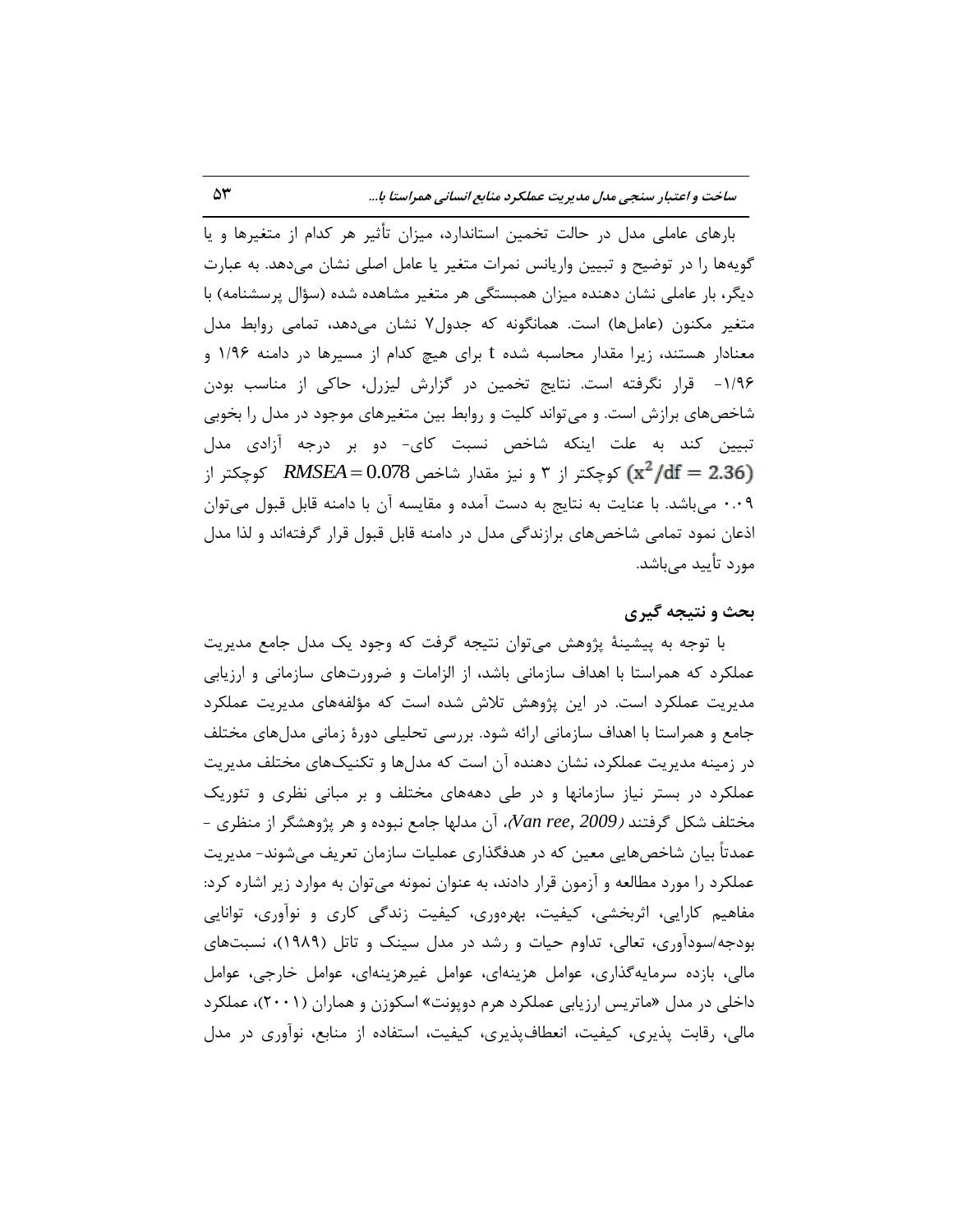بارهاى عاملى مدل در حالت تخمين استاندارد، ميزان تأثير هر كدام از متغيرها و يا گویهها را در توضیح و تبیین واریانس نمرات متغیر یا عامل اصلی نشان میٖدهد. به عبارت دیگر، بار عاملی نشان دهنده میزان همبستگی هر متغیر مشاهده شده (سؤال پرسشنامه) با متغیر مکنون (عاملها) است. همانگونه که جدول۷ نشان میدهد، تمامی روابط مدل معنادار هستند، زیرا مقدار محاسبه شده t برای هیچ کدام از مسیرها در دامنه ۱/۹۶ و ۱/۹۶- قرار نگرفته است. نتايج تخمين در گزارش ليزرل، حاكي از مناسب بودن شاخصهاى برازش است. و مى تواند كليت و روابط بين متغيرهاى موجود در مدل را بخوبى تبيين كند به علت اينكه شاخص نسبت كاي- دو بر درجه آزادي مدل کوچکتر از ۳ و نیز مقدار شاخص RMSEA = 0.078 کوچکتر از 0.09 میباشد. با عنایت به نتایج به دست آمده و مقایسه آن با دامنه قابل قبول میتوان اذعان نمود تمامی شاخصهای برازندگی مدل در دامنه قابل قبول قرار گرفتهاند و لذا مدل مورد تأیید مے باشد.

# **تحث ٍ ًتیجِ گیزی**

با توجه به پیشینهٔ پژوهش میتوان نتیجه گرفت که وجود یک مدل جامع مدیریت عملکرد که همراستا با اهداف سازمانی باشد، از الزامات و ضرورتهای سازمانی و ارزیابی مديريت عملكرد است. در اين پژوهش تلاش شده است كه مؤلفههای مديريت عملكرد جامع و همراستا با اهداف سازمانی ارائه شود. بررسی تحلیلی دورهٔ زمانی مدلهای مختلف در زمینه مدیریت عملکرد، نشان دهنده آن است که مدلِها و تکنیکهای مختلف مدیریت عملکرد در بستر نیاز سازمانها و در طی دهههای مختلف و بر مبانی نظری و تئوریک ه مختلف شكل گرفتند *(2009 ,Van ree)،* آن مدلها جامع نبوده و هر پژوهشگر از منظرى -عمدتاً بیان شاخصهایی معین که در هدفگذاری عملیات سازمان تعریف میشوند- مدیریت عملکرد را مورد مطالعه و آزمون قرار دادند، به عنوان نمونه مىتوان به موارد زير اشاره کرد: مفاهیم کارایی، اثربخشی، کیفیت، بهرهوری، کیفیت زندگی کاری و نوآوری، توانایی بودجه/سودآوری، تعالی، تداوم حیات و رشد در مدل سینک و تاتل (۱۹۸۹)، نسبتهای هالی، بازده سرمایهگذاری، عوامل هزینهای، عوامل غیرهزینهای، عوامل خارجی، عوامل داخلی در مدل «ماتریس ارزیابی عملکرد هرم دوپونت» اسکوزن و هماران (۲۰۰۱)، عملکرد مالی، رقابت پذیری، کیفیت، انعطافپذیری، کیفیت، استفاده از منابع، نوآوری در مدل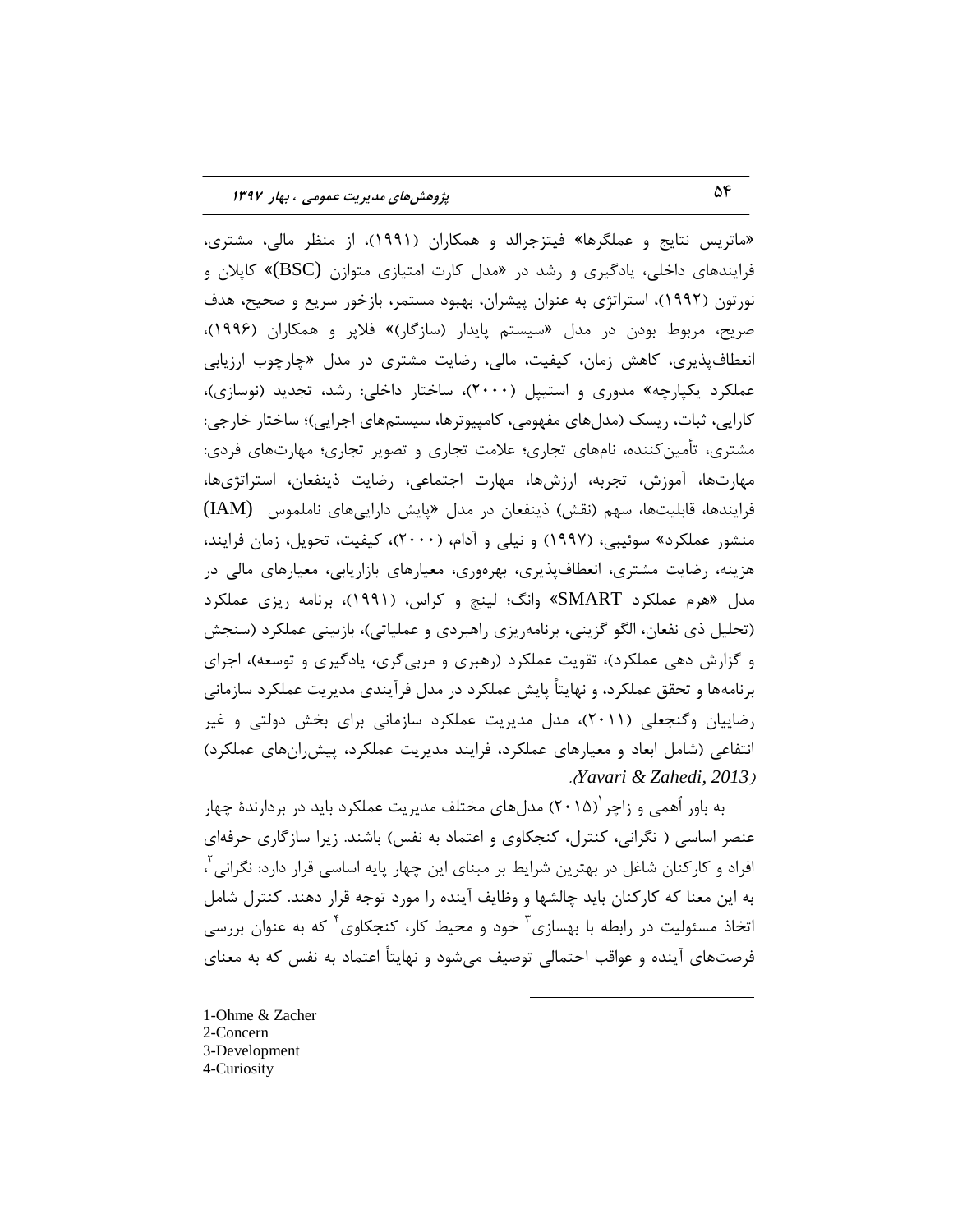«ماتريس نتايج و عملگرها» فيتزجرالد و همكاران (١٩٩١)، از منظر مالي، مشترى، فرایندهای داخلی، یادگیری و رشد در «مدل کارت امتیازی متوازن (BSC)» کاپلان و نورتون (۱۹۹۲)، استراتژى به عنوان پیشران، بهبود مستمر، بازخور سریع و صحیح، هدف صريح، مربوط بودن در مدل «سيستم پايدار (سازگار)» فلاپر و همكاران (۱۹۹۶)، انعطاف پذیری، کاهش زمان، کیفیت، مالی، رضایت مشتری در مدل «چارچوب ارزیابی عملکرد یکپارچِه» مدوری و استیپل (۲۰۰۰)، ساختار داخلی: رشد، تجدید (نوسازی)، کارایی، ثبات، ریسک (مدل های مفهومی، کامپیوترها، سیستمهای اجرایی)؛ ساختار خارجی: مشتری، تأمین کننده، نامهای تجاری؛ علامت تجاری و تصویر تجاری؛ مهارتهای فردی: مهارتها، آموزش، تجربه، ارزشها، مهارت اجتماعی، رضایت ذینفعان، استراتژیها، فرایندها، قابلیتها، سهم (نقش) ذینفعان در مدل «پایش داراییهای ناملموس (IAM) منشور عملكرد» سوئيبي، (١٩٩٧) و نيلي و آدام، (٢٠٠٠)، كيفيت، تحويل، زمان فرايند، هزینه، رضایت مشتری، انعطافپذیری، بهرهوری، معیارهای بازاریابی، معیارهای مالی در مدل «هرم عملكرد SMART» وانگ؛ لينچ و كراس، (۱۹۹۱)، برنامه ريزي عملكرد (تحلیل ذی نفعان، الگو گزینی، برنامهریزی راهبردی و عملیاتی)، بازبینی عملکرد (سنجش و گزارش دهی عملکرد)، تقویت عملکرد (رهبری و مربی گری، یادگیری و توسعه)، اجرای برنامهها و تحقق عملكرد، و نهايتاً پايش عملكرد در مدل فرآيندي مديريت عملكرد سازماني رضاییان وگنجعلی (۲۰۱۱)، مدل مدیریت عملکرد سازمانی برای بخش دولتی و غیر انتفاعی (شامل ابعاد و معیارهای عملکرد، فرایند مدیریت عملکرد، پیش رانهای عملکرد) .)*Yavari & Zahedi, 2013*(

به باور اُهمی و زاچر ۲۰۱۵) مدلهای مختلف مدیریت عملکرد باید در بردارندهٔ چهار عنصر اساسی ( نگرانی، کنترل، کنجکاوی و اعتماد به نفس) باشند. زیرا سازگاری حرفهای افراد و کارکنان شاغل در بهترين شرايط بر مبناى اين چهار پايه اساسى قرار دارد: نگرانى<sup>٢</sup>، بِه اين معنا كه كاركنان بايد چالشها و وظايف آينده را مورد توجه قرار دهند. كنترل شامل اتخاذ مسئولیت در رابطه با بهسازی ؓ خود و محیط کار، کنجکاوی ؓ که به عنوان بررسی فرصتهای آینده و عواقب احتمالی توصیف میشود و نهایتاً اعتماد به نفس که به معنای

 $\overline{a}$ 

1-Ohme & Zacher 2-Concern 3-Development 4-Curiosity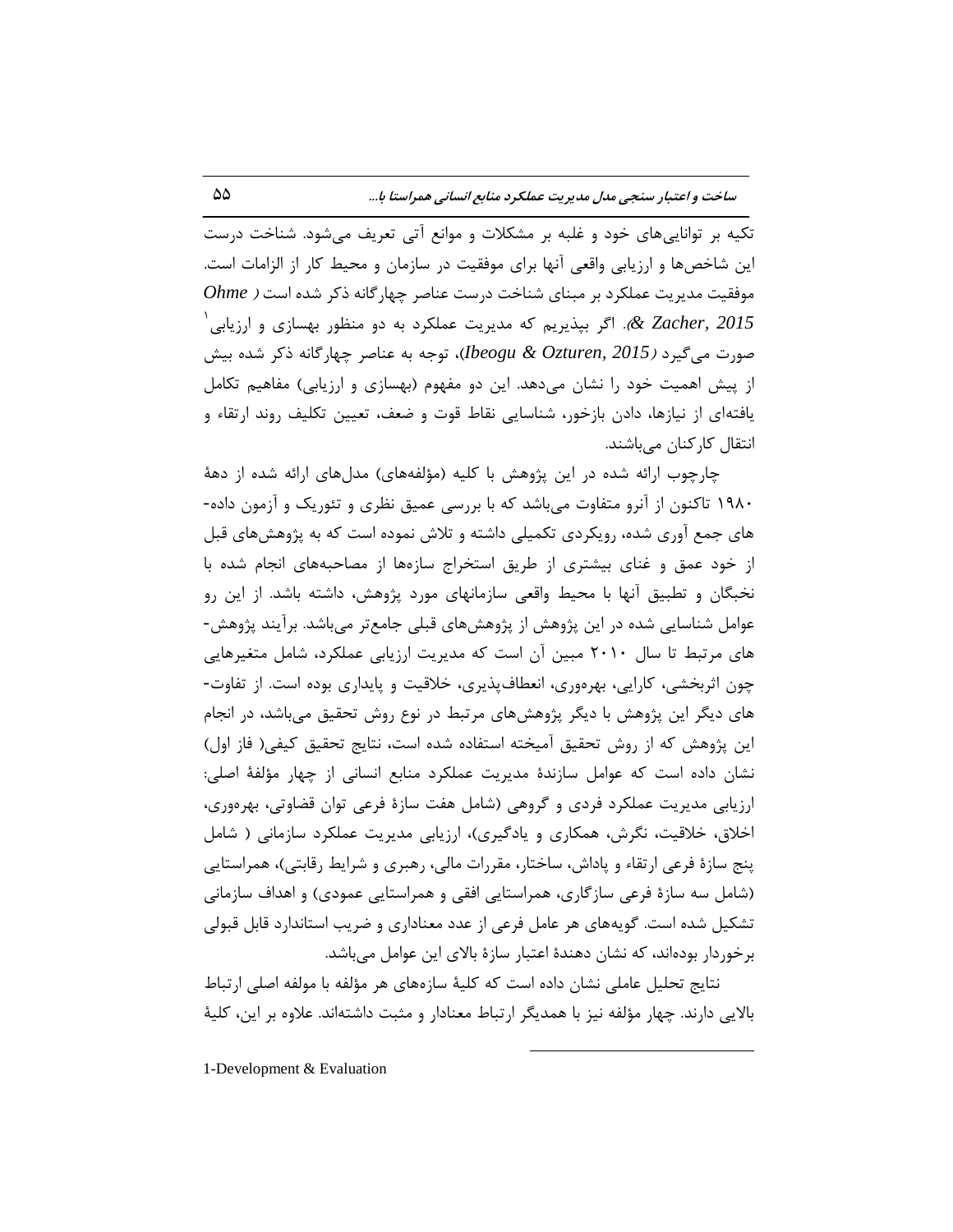تکیه بر تواناییهای خود و غلبه بر مشکلات و موانع آتی تعریف میشود. شناخت درست اين شاخصها و ارزيابي واقعي آنها براي موفقيت در سازمان و محيط كار از الزامات است. هوفقیت مدیریت عملکرد بر مبنای شناخت درست عناصر چهارگانه ذکر شده است *( Ohme* لاً *2015). اگ*ر بپذیریم که مدیریت عملکرد به دو منظور بهسازی و ارزیابی $\alpha$  Zacher, 2015 صورت میگیرد (*Deogu & Ozturen, 2015)،* توجه به عناصر چهارگانه ذکر شده بیش از پیش اهمیت خود را نشان می۵هد. این دو مفهوم (بهسازی و ارزیابی) مفاهیم تکامل یافتهای از نیازها، دادن بازخور، شناسایی نقاط قوت و ضعف، تعیین تکلیف روند ارتقاء و انتقال كاركنان مىباشند.

چارچوب ارائه شده در اين پژوهش با كليه (مؤلفههای) مدلهای ارائه شده از دههٔ ۱۹۸۰ تاكنون از آنرو متفاوت میباشد كه با بررسی عمیق نظری و تئوریک و آزمون داده-هاى جمع آورى شده، رويكردى تكميلي داشته و تلاش نموده است كه به پژوهشهاى قبل از خود عمق و غناى بيشترى از طريق استخراج سازهها از مصاحبههاى انجام شده با نخبگان و تطبيق آنها با محيط واقعى سازمانهاى مورد پژوهش، داشته باشد. از اين رو عوامل شناسایی شده در این پژوهش از پژوهشهای قبلی جامع تر می باشد. بر آیند پژوهش-های مرتبط تا سال ۲۰۱۰ مبين آن است که مديريت ارزيابي عملکرد، شامل متغيرهايي چون اثربخشی، کارایی، بهرهوری، انعطافپذیری، خلاقیت و پایداری بوده است. از تفاوت-های دیگر این پژوهش با دیگر پژوهشهای مرتبط در نوع روش تحقیق میباشد، در انجام اين پژوهش كه از روش تحقيق آميخته استفاده شده است، نتايج تحقيق كيفي( فاز اول) نشان داده است كه عوامل سازندهٔ مدیریت عملکرد منابع انسانی از چهار مؤلفهٔ اصلی: ارزیابی مدیریت عملکرد فردی و گروهی (شامل هفت سازهٔ فرعی توان قضاوتی، بهرهوری، اخلاق، خلاقيت، نگرش، همكارى و يادگيرى)، ارزيابي مديريت عملكرد سازماني ( شامل پنج سازهٔ فرعی ارتقاء و پاداش، ساختار، مقررات مالی، رهبری و شرایط رقابتی)، همراستایی (شامل سه سازهٔ فرعی سازگاری، همراستایی افقی و همراستایی عمودی) و اهداف سازمانی تشكيل شده است. گويههاي هر عامل فرعي از عدد معناداري و ضريب استاندارد قابل قبولي برخوردار بودهاند، كه نشان دهندهٔ اعتبار سازهٔ بالای این عوامل می،باشد.

نتايج تحليل عاملي نشان داده است كه كليهٔ سازههاي هر مؤلفه با مولفه اصلي ارتباط بالایی دارند. چهار مؤلفه نیز با همدیگر ارتباط معنادار و مثبت داشتهاند. علاوه بر این، کلیهٔ

 $\overline{a}$ 

1-Development & Evaluation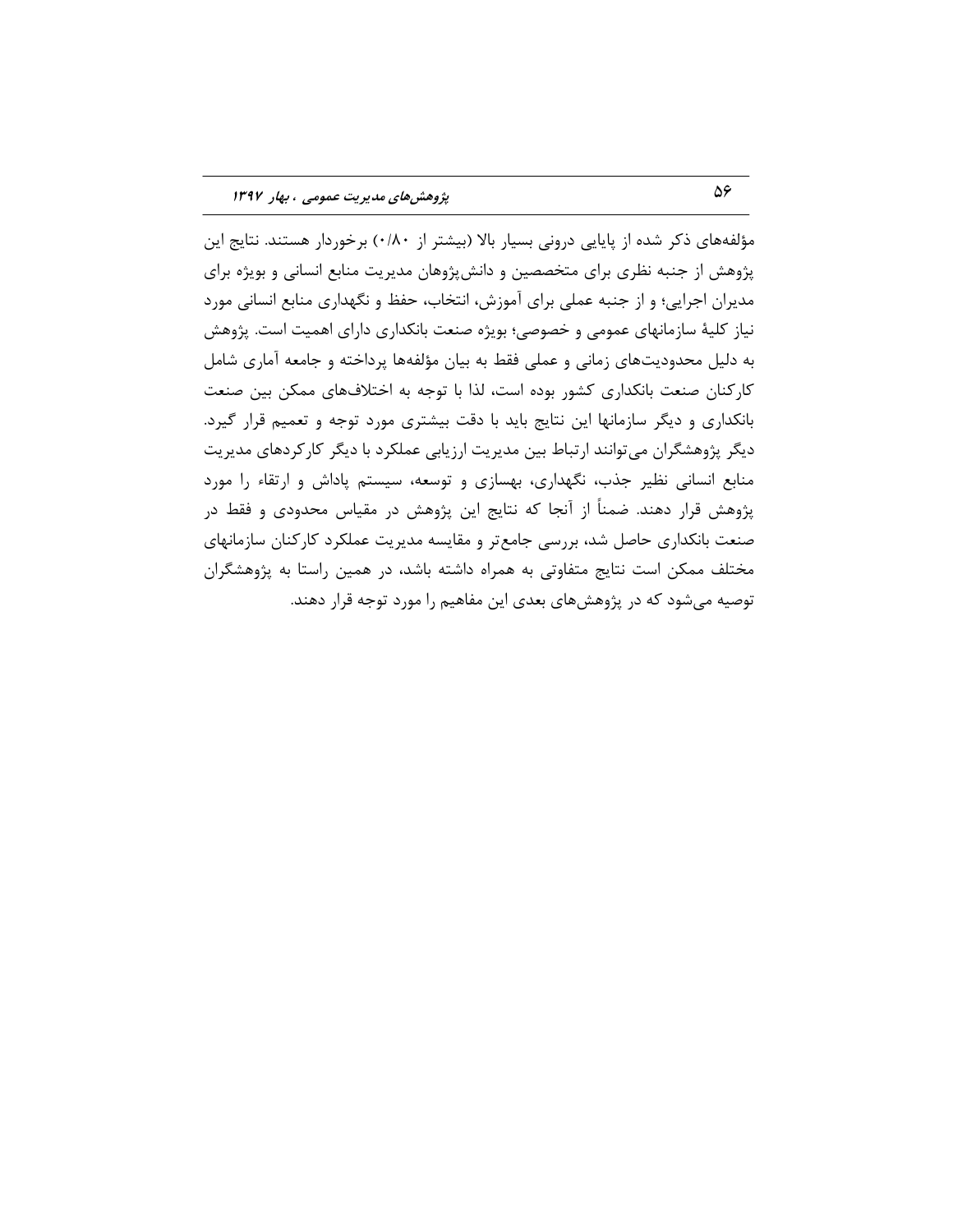مؤلفِهِهای ذکر شده از پایایی درونی بسیار بالا (بیشتر از ۱۸۰)؛ برخوردار هستند. نتایج این پژوهش از جنبه نظري براي متخصصين و دانشپژوهان مديريت منابع انساني و بويژه براي مدیران اجرایی؛ و از جنبه عملی برای آموزش، انتخاب، حفظ و نگهداری منابع انسانی مورد نیاز کلیهٔ سازمانهای عمومی و خصوصی؛ بویژه صنعت بانکداری دارای اهمیت است. پژوهش بِه دلیل محدودیتهای زمانی و عملی فقط به بیان مؤلفِهها پرداخته و جامعه آماری شامل كاركنان صنعت بانكدارى كشور بوده است، لذا با توجه به اختلافهاى ممكن بين صنعت بانكدارى و ديگر سازمانها اين نتايج بايد با دقت بيشترى مورد توجه و تعميم قرار گيرد. ديگر پژوهشگران مى توانند ارتباط بين مديريت ارزيابى عملكرد با ديگر كاركردهاى مديريت منابع انسانی نظیر جذب، نگهداری، بهسازی و توسعه، سیستم پاداش و ارتقاء را مورد پژوهش قرار دهند. ضمناً از آنجا که نتايج اين پژوهش در مقياس محدودي و فقط در صنعت بانکداری حاصل شد، بررسی جامعتر و مقایسه مدیریت عملکرد کارکنان سازمانهای مختلف ممكن است نتايج متفاوتي به همراه داشته باشد، در همين راستا به پژوهشگران توصيه مي شود كه در پژوهشهاي بعدي اين مفاهيم را مورد توجه قرار دهند.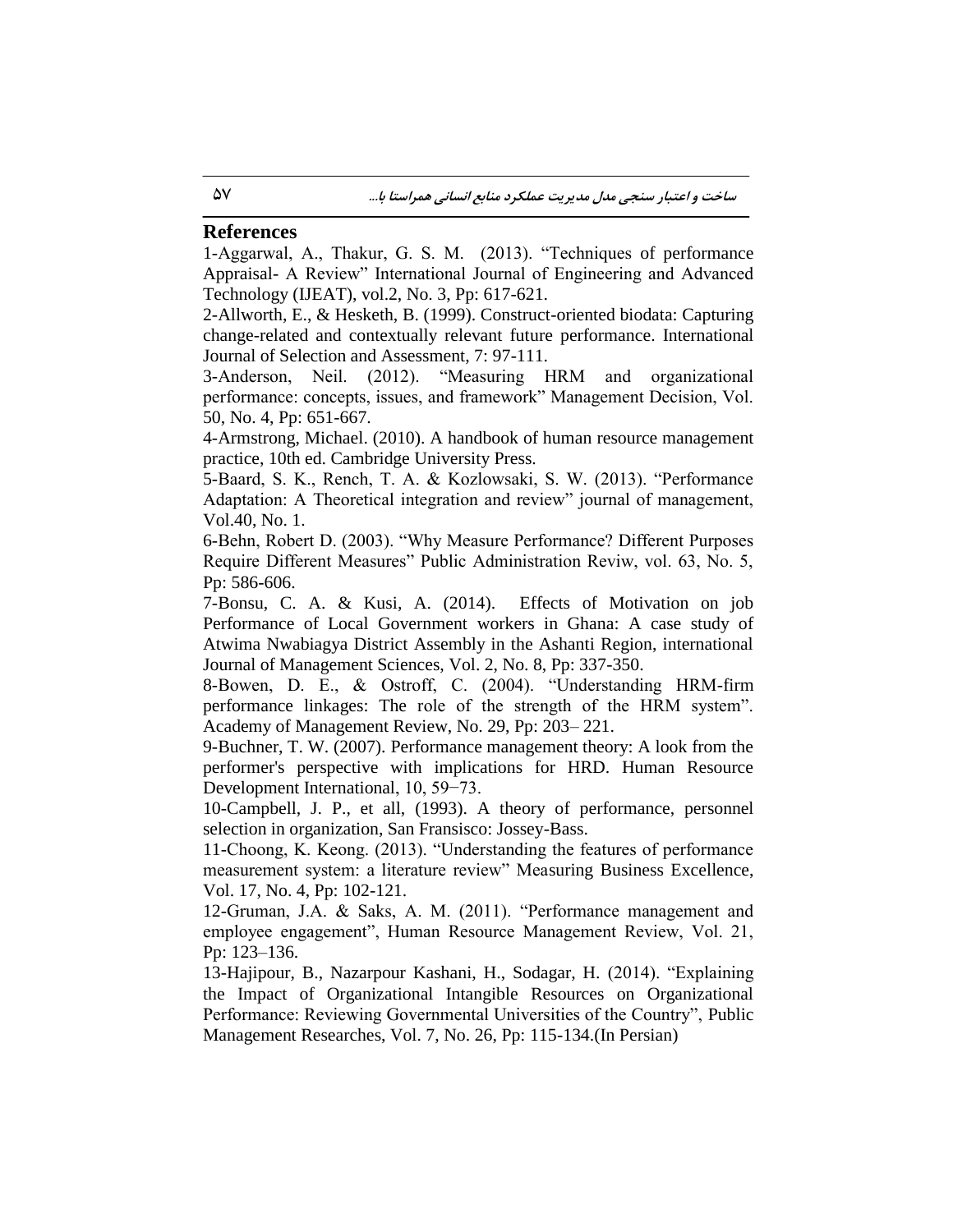# **References**

1-Aggarwal, A., Thakur, G. S. M. (2013). "Techniques of performance Appraisal- A Review" International Journal of Engineering and Advanced Technology (IJEAT), vol.2, No. 3, Pp: 617-621.

2-Allworth, E., & Hesketh, B. (1999). Construct-oriented biodata: Capturing change-related and contextually relevant future performance. International Journal of Selection and Assessment, 7: 97-111.

3-Anderson, Neil. (2012). "Measuring HRM and organizational performance: concepts, issues, and framework" Management Decision, Vol. 50, No. 4, Pp: 651-667.

4-Armstrong, Michael. (2010). A handbook of human resource management practice, 10th ed. Cambridge University Press.

5-Baard, S. K., Rench, T. A. & Kozlowsaki, S. W. (2013). "Performance Adaptation: A Theoretical integration and review" journal of management, Vol.40, No. 1.

6-Behn, Robert D. (2003). "Why Measure Performance? Different Purposes Require Different Measures" Public Administration Reviw, vol. 63, No. 5, Pp: 586-606.

7-Bonsu, C. A. & Kusi, A. (2014). Effects of Motivation on job Performance of Local Government workers in Ghana: A case study of Atwima Nwabiagya District Assembly in the Ashanti Region, international Journal of Management Sciences, Vol. 2, No. 8, Pp: 337-350.

8-Bowen, D. E., & Ostroff, C. (2004). "Understanding HRM-firm performance linkages: The role of the strength of the HRM system". Academy of Management Review, No. 29, Pp: 203– 221.

9-Buchner, T. W. (2007). Performance management theory: A look from the performer's perspective with implications for HRD. Human Resource Development International, 10, 59−73.

10-Campbell, J. P., et all, (1993). A theory of performance, personnel selection in organization, San Fransisco: Jossey-Bass.

11-Choong, K. Keong. (2013). "Understanding the features of performance measurement system: a literature review" Measuring Business Excellence, Vol. 17, No. 4, Pp: 102-121.

12-Gruman, J.A. & Saks, A. M. (2011). "Performance management and employee engagement", Human Resource Management Review, Vol. 21, Pp: 123–136.

13-Hajipour, B., Nazarpour Kashani, H., Sodagar, H. (2014). "Explaining the Impact of Organizational Intangible Resources on Organizational Performance: Reviewing Governmental Universities of the Country", Public Management Researches, Vol. 7, No. 26, Pp: 115-134.(In Persian)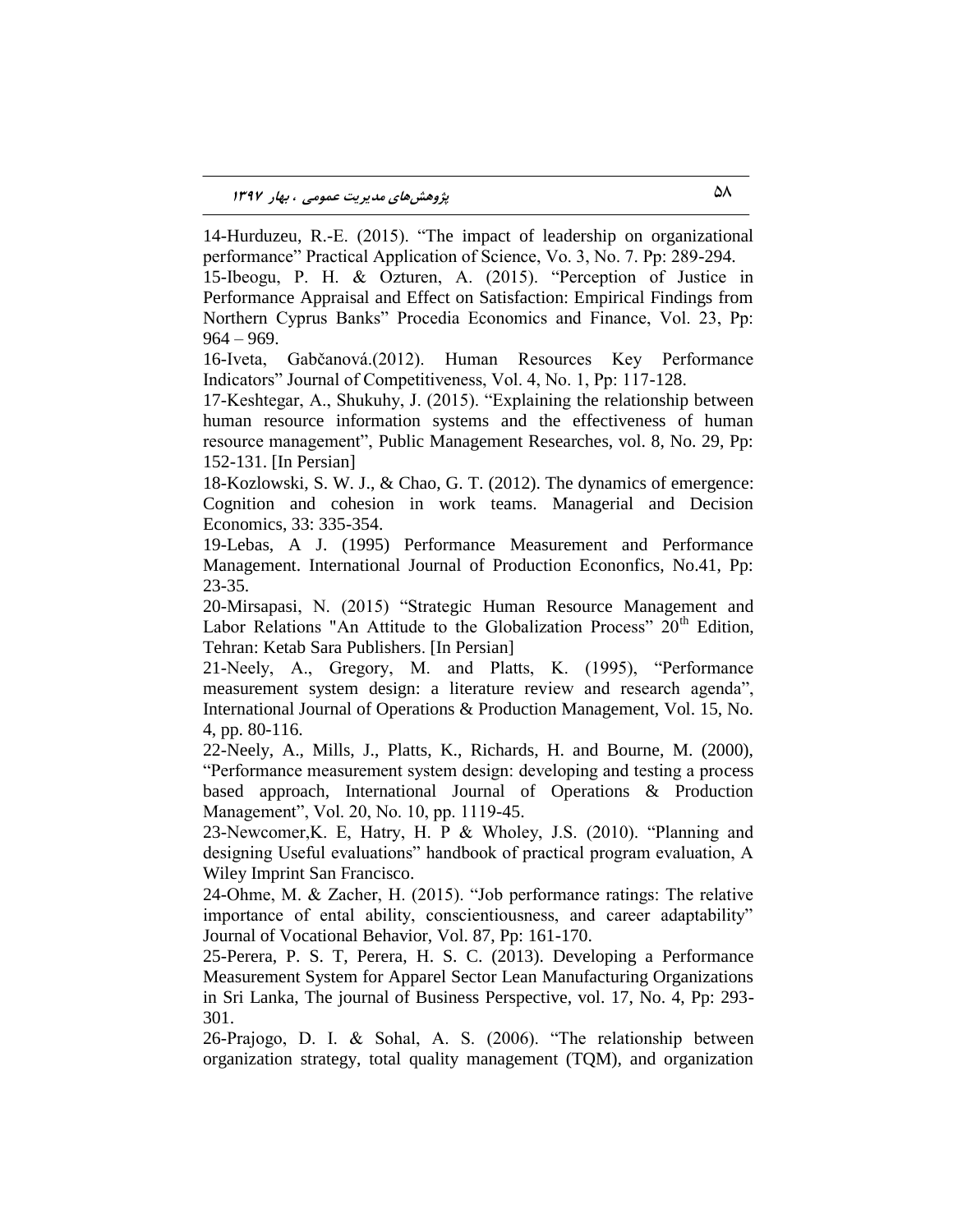14-Hurduzeu, R.-E. (2015). "The impact of leadership on organizational performance" Practical Application of Science, Vo. 3, No. 7. Pp: 289-294.

15-Ibeogu, P. H. & Ozturen, A. (2015). "Perception of Justice in Performance Appraisal and Effect on Satisfaction: Empirical Findings from Northern Cyprus Banks" Procedia Economics and Finance, Vol. 23, Pp:  $964 - 969.$ 

16-Iveta, Gabčanová.(2012). Human Resources Key Performance Indicators" Journal of Competitiveness, Vol. 4, No. 1, Pp: 117-128.

17-Keshtegar, A., Shukuhy, J. (2015). "Explaining the relationship between human resource information systems and the effectiveness of human resource management", Public Management Researches, vol. 8, No. 29, Pp: 152-131. [In Persian]

18-Kozlowski, S. W. J., & Chao, G. T. (2012). The dynamics of emergence: Cognition and cohesion in work teams. Managerial and Decision Economics, 33: 335-354.

19-Lebas, A J. (1995) Performance Measurement and Performance Management. International Journal of Production Econonfics, No.41, Pp: 23-35.

20[-Mirsapasi,](https://translate.googleusercontent.com/translate_c?depth=1&hl=en&prev=search&rurl=translate.google.com&sl=fa&sp=nmt4&u=https://www.adinehbook.com/gp/search/ref%3Dpd_sa_top%3Fsearch-alias%3Dbooks%26author%3D%25D9%2586%25D8%25A7%25D8%25B5%25D8%25B1%2B%25D9%2585%25DB%258C%25D8%25B1%25D8%25B3%25D9%25BE%25D8%25A7%25D8%25B3%25DB%258C%26select-author%3Dauthor-exact&xid=17259,15700023,15700124,15700149,15700168,15700173,15700186,15700191,15700201,15700205&usg=ALkJrhiz0GUa9urbkas3d0LGza-ulIafXQ) N. (2015) "Strategic Human Resource Management and Labor Relations "An Attitude to the Globalization Process"  $20<sup>th</sup>$  Edition, Tehran: Ketab Sara Publishers. [In Persian]

21-Neely, A., Gregory, M. and Platts, K. (1995), "Performance measurement system design: a literature review and research agenda", International Journal of Operations & Production Management, Vol. 15, No. 4, pp. 80-116.

22-Neely, A., Mills, J., Platts, K., Richards, H. and Bourne, M. (2000), "Performance measurement system design: developing and testing a process based approach, International Journal of Operations & Production Management", Vol. 20, No. 10, pp. 1119-45.

23-Newcomer,K. E, Hatry, H. P & Wholey, J.S. (2010). "Planning and designing Useful evaluations" handbook of practical program evaluation, A Wiley Imprint San Francisco.

24-Ohme, M. & Zacher, H. (2015). "Job performance ratings: The relative importance of ental ability, conscientiousness, and career adaptability" Journal of Vocational Behavior, Vol. 87, Pp: 161-170.

25-Perera, P. S. T, Perera, H. S. C. (2013). Developing a Performance Measurement System for Apparel Sector Lean Manufacturing Organizations in Sri Lanka, The journal of Business Perspective, vol. 17, No. 4, Pp: 293- 301.

26-Prajogo, D. I. & Sohal, A. S. (2006). "The relationship between organization strategy, total quality management (TQM), and organization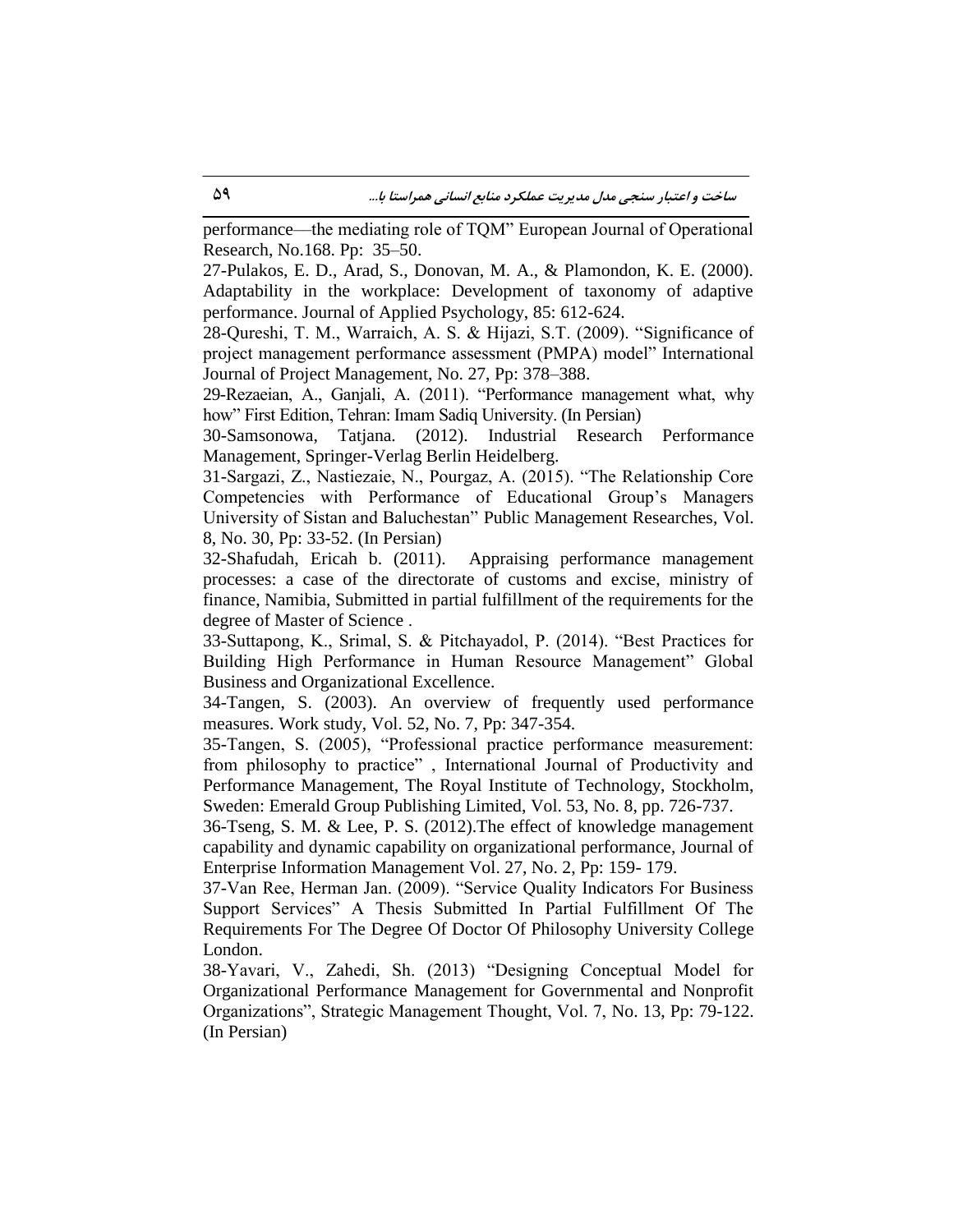performance––the mediating role of TQM" European Journal of Operational Research, No.168. Pp: 35–50.

27-Pulakos, E. D., Arad, S., Donovan, M. A., & Plamondon, K. E. (2000). Adaptability in the workplace: Development of taxonomy of adaptive performance. Journal of Applied Psychology, 85: 612-624.

28-Qureshi, T. M., Warraich, A. S. & Hijazi, S.T. (2009). "Significance of project management performance assessment (PMPA) model" International Journal of Project Management, No. 27, Pp: 378–388.

29-Rezaeian, A., Ganjali, A. (2011). "Performance management what, why how" First Edition, Tehran: Imam Sadiq University. (In Persian)

30-Samsonowa, Tatjana. (2012). Industrial Research Performance Management, Springer-Verlag Berlin Heidelberg.

31-Sargazi, Z., Nastiezaie, N., Pourgaz, A. (2015). "The Relationship Core Competencies with Performance of Educational Group's Managers University of Sistan and Baluchestan" Public Management Researches, Vol. 8, No. 30, Pp: 33-52. (In Persian)

32-Shafudah, Ericah b. (2011). Appraising performance management processes: a case of the directorate of customs and excise, ministry of finance, Namibia, Submitted in partial fulfillment of the requirements for the degree of Master of Science .

33-Suttapong, K., Srimal, S. & Pitchayadol, P. (2014). "Best Practices for Building High Performance in Human Resource Management" Global Business and Organizational Excellence.

34-Tangen, S. (2003). An overview of frequently used performance measures. Work study, Vol. 52, No. 7, Pp: 347-354.

35-Tangen, S. (2005), "Professional practice performance measurement: from philosophy to practice" , International Journal of Productivity and Performance Management, The Royal Institute of Technology, Stockholm, Sweden: Emerald Group Publishing Limited, Vol. 53, No. 8, pp. 726-737.

36-Tseng, S. M. & Lee, P. S. (2012).The effect of knowledge management capability and dynamic capability on organizational performance, Journal of Enterprise Information Management Vol. 27, No. 2, Pp: 159- 179.

37-Van Ree, Herman Jan. (2009). "Service Quality Indicators For Business Support Services" A Thesis Submitted In Partial Fulfillment Of The Requirements For The Degree Of Doctor Of Philosophy University College London.

38-Yavari, V., Zahedi, Sh. (2013) "Designing Conceptual Model for Organizational Performance Management for Governmental and Nonprofit Organizations", Strategic Management Thought, Vol. 7, No. 13, Pp: 79-122. (In Persian)